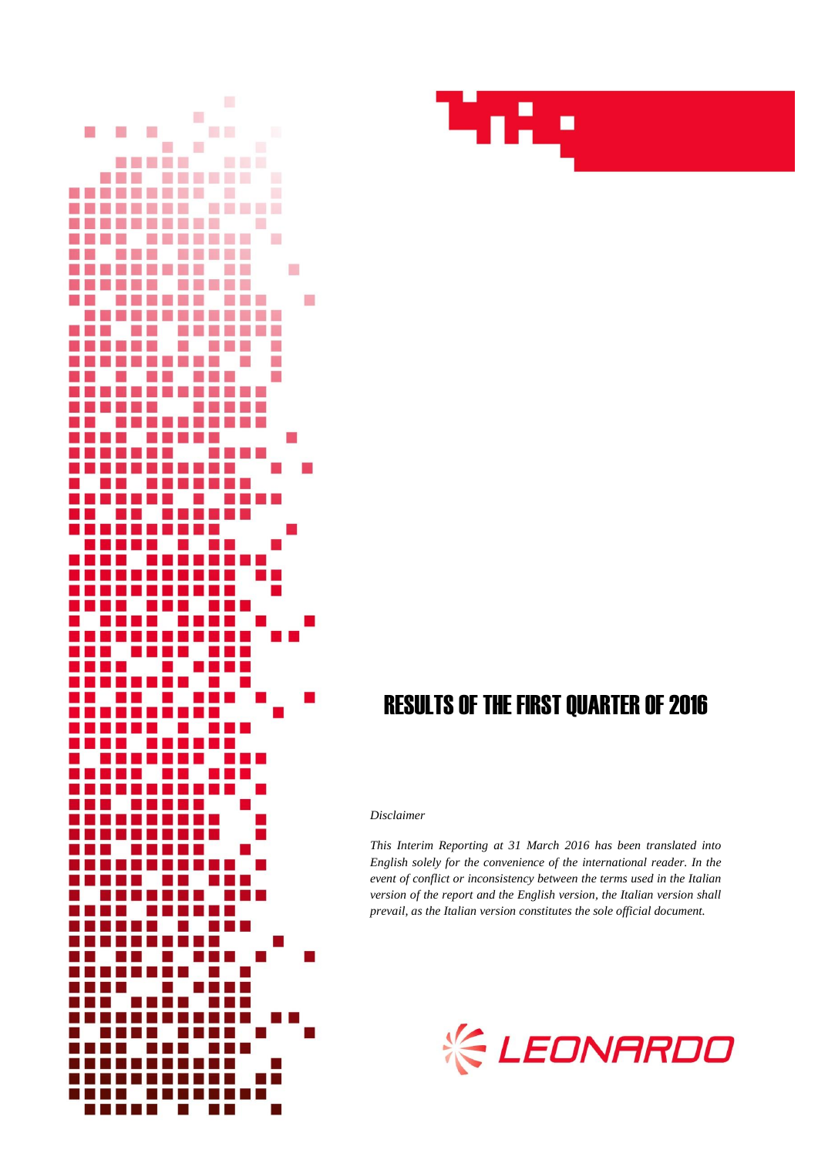



# RESULTS OF THE FIRST QUARTER OF 2016

#### *Disclaimer*

*This Interim Reporting at 31 March 2016 has been translated into English solely for the convenience of the international reader. In the event of conflict or inconsistency between the terms used in the Italian version of the report and the English version, the Italian version shall prevail, as the Italian version constitutes the sole official document.*

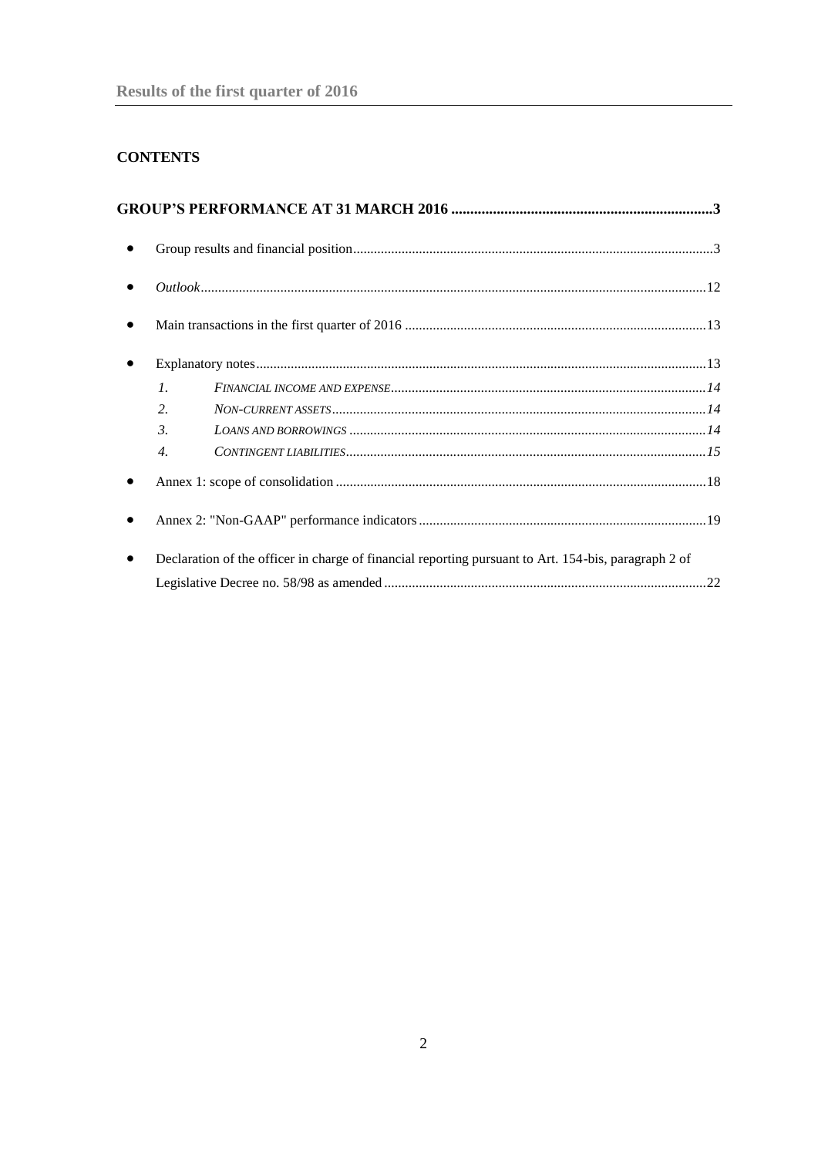## **CONTENTS**

| $\mathcal{I}$ .  |                                                                                                      |  |
|------------------|------------------------------------------------------------------------------------------------------|--|
| $\overline{2}$ . |                                                                                                      |  |
| 3.               |                                                                                                      |  |
| $\overline{4}$ . |                                                                                                      |  |
|                  |                                                                                                      |  |
|                  |                                                                                                      |  |
|                  | Declaration of the officer in charge of financial reporting pursuant to Art. 154-bis, paragraph 2 of |  |
|                  |                                                                                                      |  |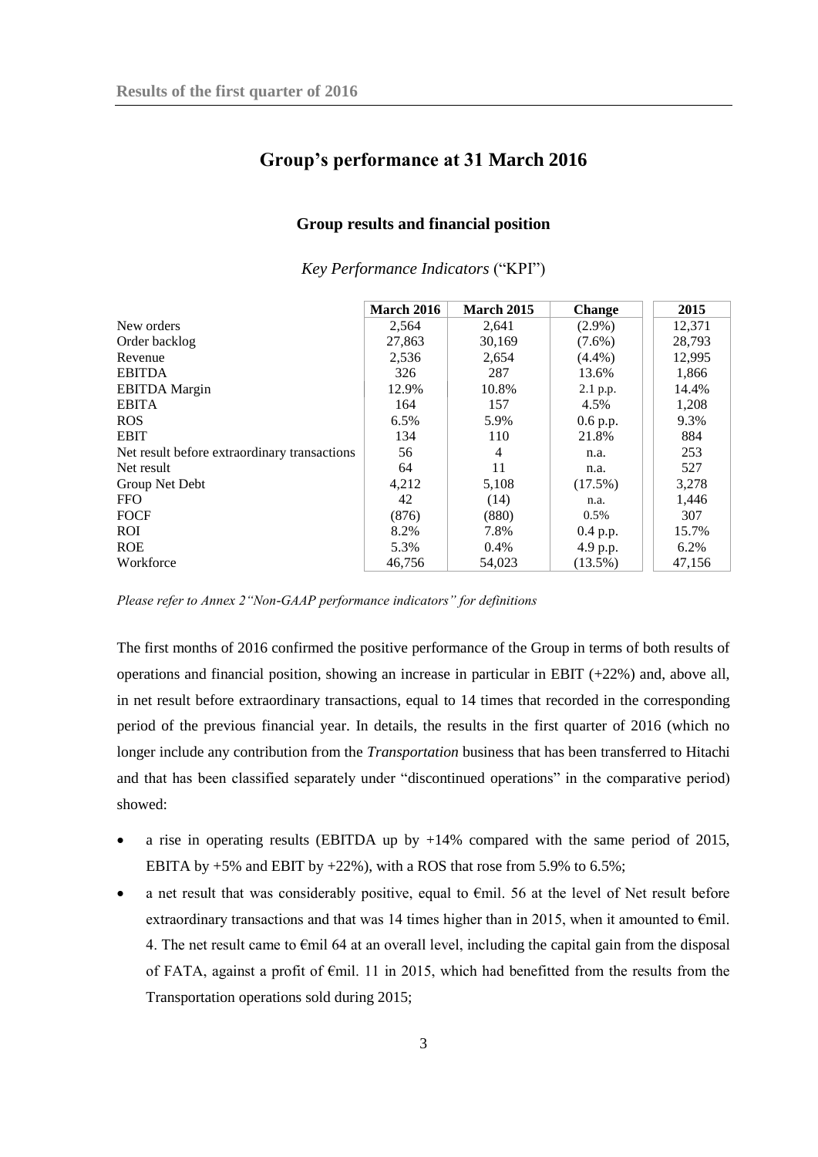## <span id="page-2-0"></span>**Group's performance at 31 March 2016**

#### **Group results and financial position**

<span id="page-2-1"></span>

|                                              | <b>March 2016</b> | March 2015 | <b>Change</b> | 2015   |
|----------------------------------------------|-------------------|------------|---------------|--------|
| New orders                                   | 2,564             | 2,641      | $(2.9\%)$     | 12,371 |
| Order backlog                                | 27,863            | 30,169     | $(7.6\%)$     | 28,793 |
| Revenue                                      | 2,536             | 2,654      | $(4.4\%)$     | 12,995 |
| <b>EBITDA</b>                                | 326               | 287        | 13.6%         | 1,866  |
| <b>EBITDA</b> Margin                         | 12.9%             | 10.8%      | 2.1 p.p.      | 14.4%  |
| <b>EBITA</b>                                 | 164               | 157        | 4.5%          | 1,208  |
| <b>ROS</b>                                   | 6.5%              | 5.9%       | $0.6$ p.p.    | 9.3%   |
| <b>EBIT</b>                                  | 134               | 110        | 21.8%         | 884    |
| Net result before extraordinary transactions | 56                | 4          | n.a.          | 253    |
| Net result                                   | 64                | 11         | n.a.          | 527    |
| Group Net Debt                               | 4,212             | 5,108      | $(17.5\%)$    | 3,278  |
| <b>FFO</b>                                   | 42                | (14)       | n.a.          | 1,446  |
| <b>FOCF</b>                                  | (876)             | (880)      | $0.5\%$       | 307    |
| <b>ROI</b>                                   | 8.2%              | 7.8%       | $0.4$ p.p.    | 15.7%  |
| <b>ROE</b>                                   | 5.3%              | $0.4\%$    | 4.9 p.p.      | 6.2%   |
| Workforce                                    | 46,756            | 54,023     | $(13.5\%)$    | 47,156 |

*Key Performance Indicators* ("KPI")

*Please refer to Annex 2"Non-GAAP performance indicators" for definitions* 

The first months of 2016 confirmed the positive performance of the Group in terms of both results of operations and financial position, showing an increase in particular in EBIT (+22%) and, above all, in net result before extraordinary transactions, equal to 14 times that recorded in the corresponding period of the previous financial year. In details, the results in the first quarter of 2016 (which no longer include any contribution from the *Transportation* business that has been transferred to Hitachi and that has been classified separately under "discontinued operations" in the comparative period) showed:

- a rise in operating results (EBITDA up by +14% compared with the same period of 2015, EBITA by +5% and EBIT by +22%), with a ROS that rose from 5.9% to 6.5%;
- a net result that was considerably positive, equal to  $\epsilon$ mil. 56 at the level of Net result before extraordinary transactions and that was 14 times higher than in 2015, when it amounted to  $\epsilon$ mil. 4. The net result came to €mil 64 at an overall level, including the capital gain from the disposal of FATA, against a profit of €mil. 11 in 2015, which had benefitted from the results from the Transportation operations sold during 2015;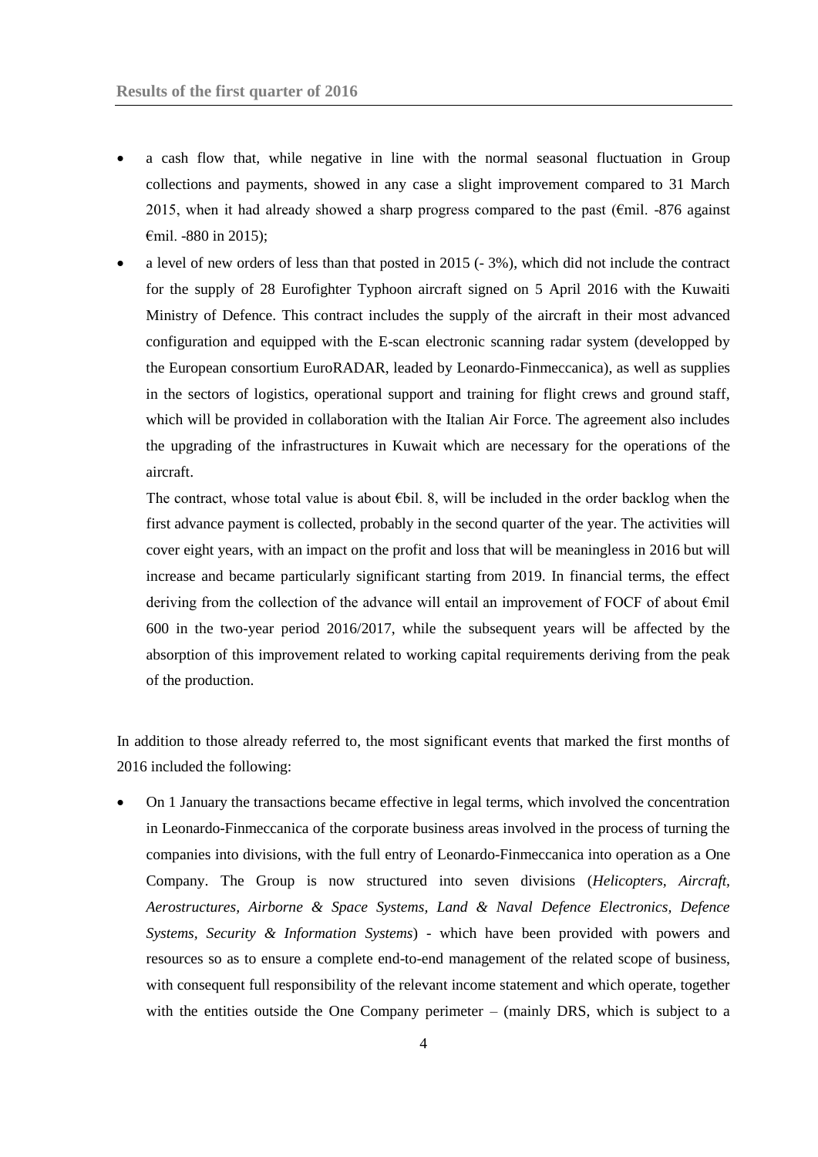- a cash flow that, while negative in line with the normal seasonal fluctuation in Group collections and payments, showed in any case a slight improvement compared to 31 March 2015, when it had already showed a sharp progress compared to the past ( $\epsilon$ mil. -876 against €mil. -880 in 2015);
- a level of new orders of less than that posted in 2015 (- 3%), which did not include the contract for the supply of 28 [Eurofighter Typhoon](http://www.finmeccanica.com/-/eurofighter-typhoon) aircraft signed on 5 April 2016 with the Kuwaiti Ministry of Defence. This contract includes the supply of the aircraft in their most advanced configuration and equipped with the E-scan electronic scanning radar system (developped by the European consortium EuroRADAR, leaded by Leonardo-Finmeccanica), as well as supplies in the sectors of logistics, operational support and training for flight crews and ground staff, which will be provided in collaboration with the Italian Air Force. The agreement also includes the upgrading of the infrastructures in Kuwait which are necessary for the operations of the aircraft.

The contract, whose total value is about  $\epsilon$ bil. 8, will be included in the order backlog when the first advance payment is collected, probably in the second quarter of the year. The activities will cover eight years, with an impact on the profit and loss that will be meaningless in 2016 but will increase and became particularly significant starting from 2019. In financial terms, the effect deriving from the collection of the advance will entail an improvement of FOCF of about €mil 600 in the two-year period 2016/2017, while the subsequent years will be affected by the absorption of this improvement related to working capital requirements deriving from the peak of the production.

In addition to those already referred to, the most significant events that marked the first months of 2016 included the following:

 On 1 January the transactions became effective in legal terms, which involved the concentration in Leonardo-Finmeccanica of the corporate business areas involved in the process of turning the companies into divisions, with the full entry of Leonardo-Finmeccanica into operation as a One Company. The Group is now structured into seven divisions (*Helicopters, Aircraft, Aerostructures, Airborne & Space Systems, Land & Naval Defence Electronics, Defence Systems, Security & Information Systems*) - which have been provided with powers and resources so as to ensure a complete end-to-end management of the related scope of business, with consequent full responsibility of the relevant income statement and which operate, together with the entities outside the One Company perimeter – (mainly DRS, which is subject to a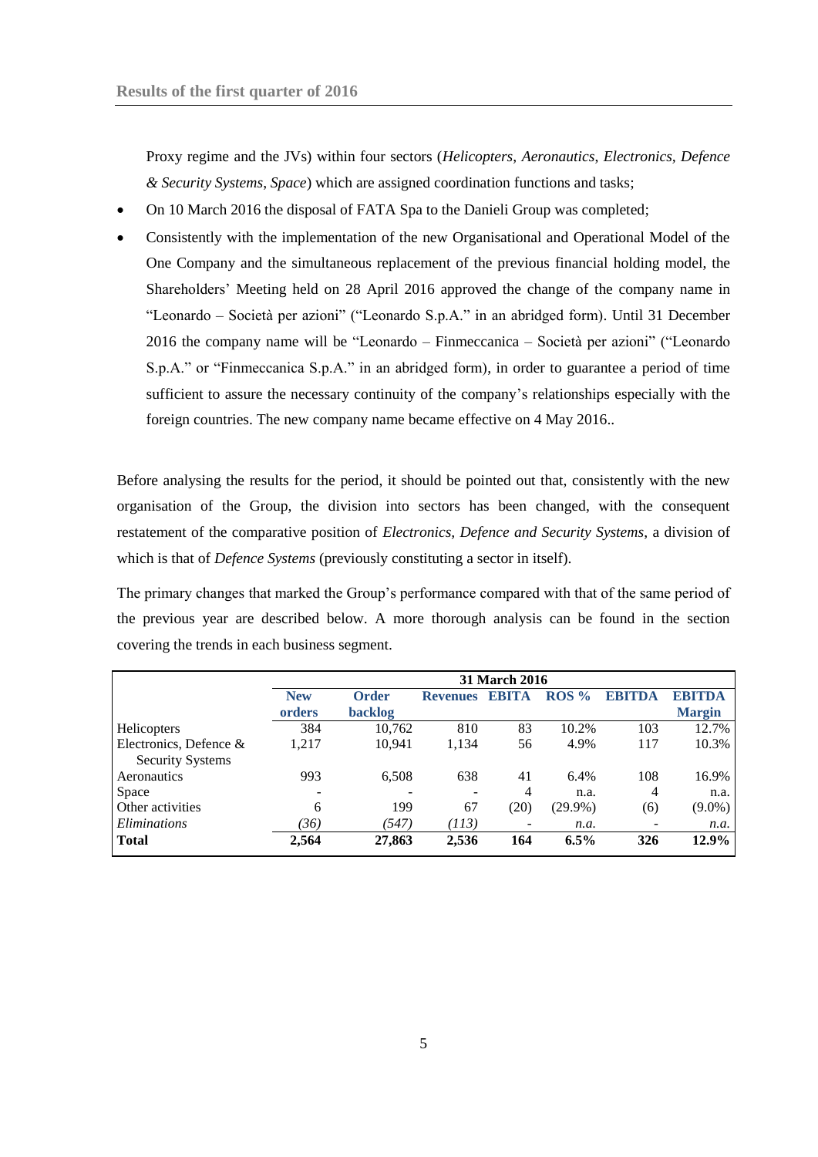Proxy regime and the JVs) within four sectors (*Helicopters*, *Aeronautics*, *Electronics, Defence & Security Systems*, *Space*) which are assigned coordination functions and tasks;

- On 10 March 2016 the disposal of FATA Spa to the Danieli Group was completed;
- Consistently with the implementation of the new Organisational and Operational Model of the One Company and the simultaneous replacement of the previous financial holding model, the Shareholders' Meeting held on 28 April 2016 approved the change of the company name in "Leonardo – Società per azioni" ("Leonardo S.p.A." in an abridged form). Until 31 December 2016 the company name will be "Leonardo – Finmeccanica – Società per azioni" ("Leonardo S.p.A." or "Finmeccanica S.p.A." in an abridged form), in order to guarantee a period of time sufficient to assure the necessary continuity of the company's relationships especially with the foreign countries. The new company name became effective on 4 May 2016..

Before analysing the results for the period, it should be pointed out that, consistently with the new organisation of the Group, the division into sectors has been changed, with the consequent restatement of the comparative position of *Electronics, Defence and Security Systems*, a division of which is that of *Defence Systems* (previously constituting a sector in itself).

The primary changes that marked the Group's performance compared with that of the same period of the previous year are described below. A more thorough analysis can be found in the section covering the trends in each business segment.

|                                                   | <b>31 March 2016</b>     |                |                 |                |            |        |               |
|---------------------------------------------------|--------------------------|----------------|-----------------|----------------|------------|--------|---------------|
|                                                   | <b>New</b>               | <b>Order</b>   | <b>Revenues</b> | <b>EBITA</b>   | $ROS\%$    | EBITDA | <b>EBITDA</b> |
|                                                   | orders                   | <b>backlog</b> |                 |                |            |        | <b>Margin</b> |
| Helicopters                                       | 384                      | 10,762         | 810             | 83             | 10.2%      | 103    | 12.7%         |
| Electronics, Defence &<br><b>Security Systems</b> | 1,217                    | 10,941         | 1,134           | 56             | 4.9%       | 117    | 10.3%         |
| Aeronautics                                       | 993                      | 6,508          | 638             | 41             | 6.4%       | 108    | 16.9%         |
| Space                                             | $\overline{\phantom{0}}$ |                |                 | $\overline{4}$ | n.a.       | 4      | n.a.          |
| Other activities                                  | 6                        | 199            | 67              | (20)           | $(29.9\%)$ | (6)    | $(9.0\%)$     |
| Eliminations                                      | (36)                     | (547)          | (113)           |                | n.a.       |        | n.a.          |
| <b>Total</b>                                      | 2,564                    | 27,863         | 2,536           | 164            | $6.5\%$    | 326    | 12.9%         |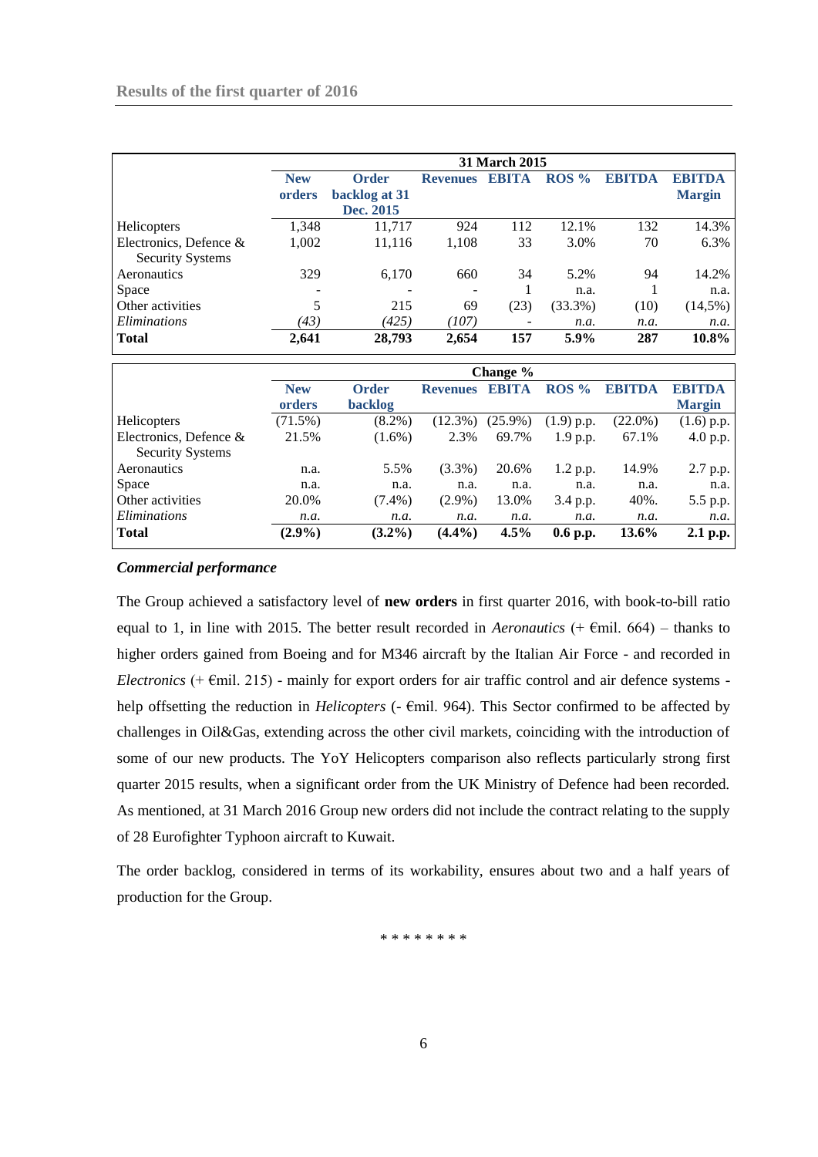|                         | <b>31 March 2015</b> |               |                 |              |                  |               |               |
|-------------------------|----------------------|---------------|-----------------|--------------|------------------|---------------|---------------|
|                         | <b>New</b>           | <b>Order</b>  | <b>Revenues</b> | <b>EBITA</b> | ROS <sub>%</sub> | <b>EBITDA</b> | <b>EBITDA</b> |
|                         | orders               | backlog at 31 |                 |              |                  |               | <b>Margin</b> |
|                         |                      | Dec. 2015     |                 |              |                  |               |               |
| Helicopters             | 1,348                | 11,717        | 924             | 112          | 12.1%            | 132           | 14.3%         |
| Electronics, Defence &  | 1,002                | 11,116        | 1,108           | 33           | 3.0%             | 70            | 6.3%          |
| <b>Security Systems</b> |                      |               |                 |              |                  |               |               |
| Aeronautics             | 329                  | 6,170         | 660             | 34           | 5.2%             | 94            | 14.2%         |
| Space                   |                      |               | ٠               |              | n.a.             |               | n.a.          |
| Other activities        | 5                    | 215           | 69              | (23)         | $(33.3\%)$       | (10)          | $(14,5\%)$    |
| Eliminations            | (43)                 | (425)         | (107)           |              | n.a.             | n.a.          | n.a.          |
| Total                   | 2,641                | 28,793        | 2,654           | 157          | 5.9%             | 287           | 10.8%         |

|                         | Change %   |              |                 |            |                  |            |               |
|-------------------------|------------|--------------|-----------------|------------|------------------|------------|---------------|
|                         | <b>New</b> | <b>Order</b> | <b>Revenues</b> | EBITA      | ROS <sub>%</sub> | ERITDA     | <b>EBITDA</b> |
|                         | orders     | backlog      |                 |            |                  |            | <b>Margin</b> |
| Helicopters             | $(71.5\%)$ | $(8.2\%)$    | $(12.3\%)$      | $(25.9\%)$ | $(1.9)$ p.p.     | $(22.0\%)$ | $(1.6)$ p.p.  |
| Electronics, Defence &  | 21.5%      | $(1.6\%)$    | 2.3%            | 69.7%      | 1.9 p.p.         | 67.1%      | 4.0 p.p.      |
| <b>Security Systems</b> |            |              |                 |            |                  |            |               |
| Aeronautics             | n.a.       | 5.5%         | $(3.3\%)$       | 20.6%      | 1.2 p.p.         | 14.9%      | 2.7 p.p.      |
| Space                   | n.a.       | n.a.         | n.a.            | n.a.       | n.a.             | n.a.       | n.a.          |
| Other activities        | 20.0%      | $(7.4\%)$    | $(2.9\%)$       | 13.0%      | 3.4 p.p.         | 40%.       | 5.5 p.p.      |
| <i>Eliminations</i>     | n.a.       | n.a.         | n.a.            | n.a.       | n.a.             | n.a.       | n.a.          |
| <b>Total</b>            | $(2.9\%)$  | $(3.2\%)$    | $(4.4\%)$       | $4.5\%$    | $0.6$ p.p.       | 13.6%      | 2.1 p.p.      |

### *Commercial performance*

The Group achieved a satisfactory level of **new orders** in first quarter 2016, with book-to-bill ratio equal to 1, in line with 2015. The better result recorded in *Aeronautics*  $(+)$   $\in$   $\mathbb{R}$ mil. 664) – thanks to higher orders gained from Boeing and for M346 aircraft by the Italian Air Force - and recorded in *Electronics*  $(+ \text{ Emil. } 215)$  - mainly for export orders for air traffic control and air defence systems help offsetting the reduction in *Helicopters* (- €mil. 964). This Sector confirmed to be affected by challenges in Oil&Gas, extending across the other civil markets, coinciding with the introduction of some of our new products. The YoY Helicopters comparison also reflects particularly strong first quarter 2015 results, when a significant order from the UK Ministry of Defence had been recorded. As mentioned, at 31 March 2016 Group new orders did not include the contract relating to the supply of 2[8 Eurofighter Typhoon](http://www.finmeccanica.com/-/eurofighter-typhoon) aircraft to Kuwait.

The order backlog, considered in terms of its workability, ensures about two and a half years of production for the Group.

\* \* \* \* \* \* \* \*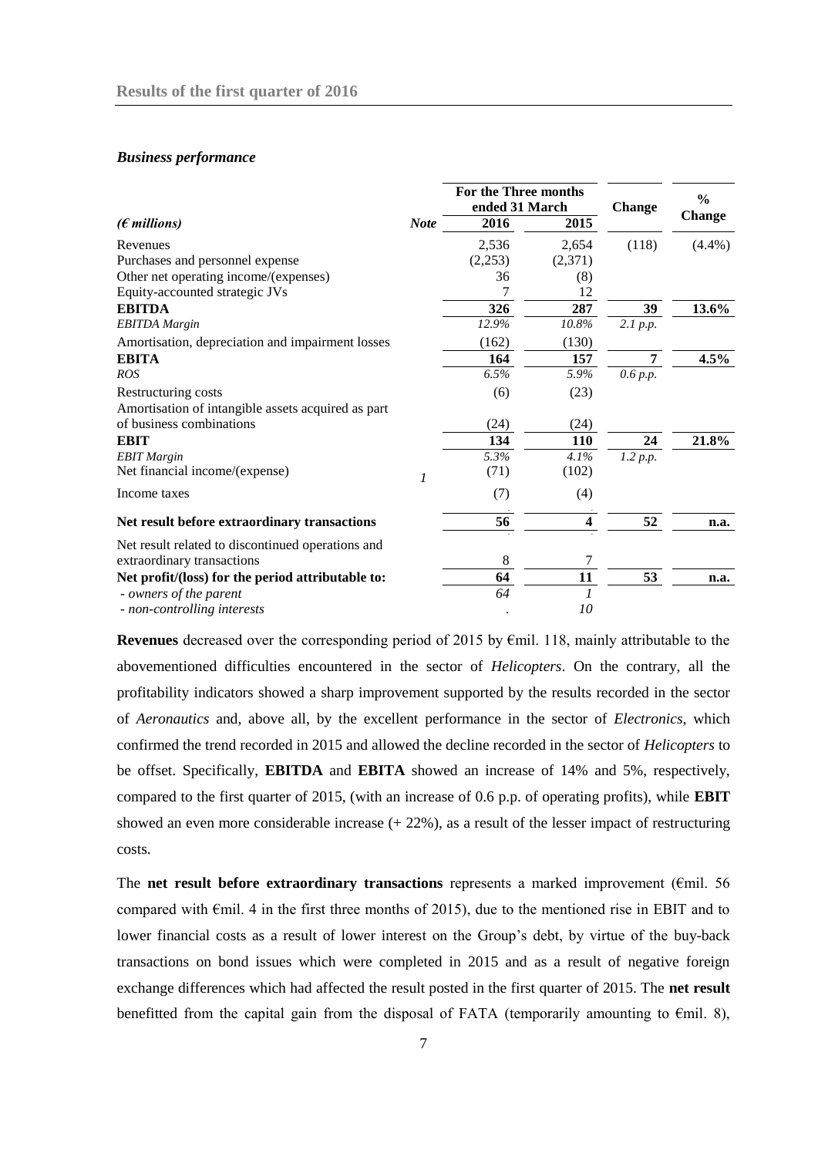#### *Business performance*

|                                                    |             | For the Three months |                        | <b>Change</b> | $\frac{0}{0}$ |
|----------------------------------------------------|-------------|----------------------|------------------------|---------------|---------------|
| $(\epsilon$ millions)                              | <b>Note</b> | 2016                 | ended 31 March<br>2015 |               | <b>Change</b> |
| Revenues                                           |             | 2,536                | 2,654                  | (118)         | $(4.4\%)$     |
| Purchases and personnel expense                    |             | (2,253)              | (2,371)                |               |               |
| Other net operating income/(expenses)              |             | 36                   | (8)                    |               |               |
| Equity-accounted strategic JVs                     |             |                      | 12                     |               |               |
| <b>EBITDA</b>                                      |             | 326                  | 287                    | 39            | 13.6%         |
| <b>EBITDA</b> Margin                               |             | 12.9%                | 10.8%                  | 2.1 p.p.      |               |
| Amortisation, depreciation and impairment losses   |             | (162)                | (130)                  |               |               |
| <b>EBITA</b>                                       |             | 164                  | 157                    | 7             | 4.5%          |
| <b>ROS</b>                                         |             | 6.5%                 | 5.9%                   | 0.6 p.p.      |               |
| Restructuring costs                                |             | (6)                  | (23)                   |               |               |
| Amortisation of intangible assets acquired as part |             |                      |                        |               |               |
| of business combinations                           |             | (24)                 | (24)                   |               |               |
| <b>EBIT</b>                                        |             | 134                  | <b>110</b>             | 24            | 21.8%         |
| <b>EBIT</b> Margin                                 |             | 5.3%                 | 4.1%                   | 1.2 p.p.      |               |
| Net financial income/(expense)                     |             | (71)                 | (102)                  |               |               |
| Income taxes                                       |             | (7)                  | (4)                    |               |               |
| Net result before extraordinary transactions       |             | 56                   | 4                      | 52            | n.a.          |
| Net result related to discontinued operations and  |             |                      |                        |               |               |
| extraordinary transactions                         |             | 8                    |                        |               |               |
| Net profit/(loss) for the period attributable to:  |             | 64                   | 11                     | 53            | n.a.          |
| - owners of the parent                             |             | 64                   |                        |               |               |
| - non-controlling interests                        |             |                      | 10                     |               |               |

**Revenues** decreased over the corresponding period of 2015 by €mil. 118, mainly attributable to the abovementioned difficulties encountered in the sector of *Helicopters*. On the contrary, all the profitability indicators showed a sharp improvement supported by the results recorded in the sector of *Aeronautics* and, above all, by the excellent performance in the sector of *Electronics*, which confirmed the trend recorded in 2015 and allowed the decline recorded in the sector of *Helicopters* to be offset. Specifically, **EBITDA** and **EBITA** showed an increase of 14% and 5%, respectively, compared to the first quarter of 2015, (with an increase of 0.6 p.p. of operating profits), while **EBIT** showed an even more considerable increase (+ 22%), as a result of the lesser impact of restructuring costs.

The **net result before extraordinary transactions** represents a marked improvement (€mil. 56 compared with €mil. 4 in the first three months of 2015), due to the mentioned rise in EBIT and to lower financial costs as a result of lower interest on the Group's debt, by virtue of the buy-back transactions on bond issues which were completed in 2015 and as a result of negative foreign exchange differences which had affected the result posted in the first quarter of 2015. The **net result**  benefitted from the capital gain from the disposal of FATA (temporarily amounting to  $\epsilon$ mil. 8),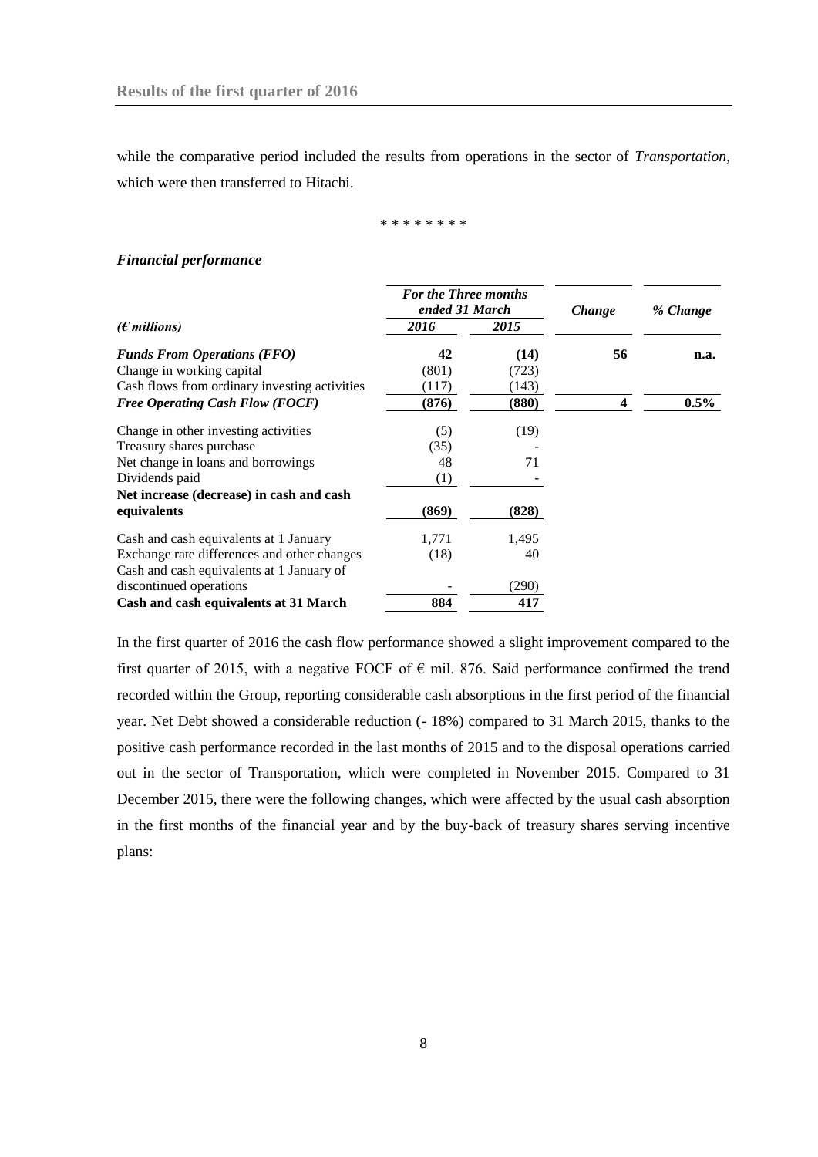while the comparative period included the results from operations in the sector of *Transportation*, which were then transferred to Hitachi.

\* \* \* \* \* \* \* \*

#### *Financial performance*

|                                               | <b>For the Three months</b><br>ended 31 March |       | <i>Change</i> | % Change |  |
|-----------------------------------------------|-----------------------------------------------|-------|---------------|----------|--|
| ( $\epsilon$ millions)                        | 2016                                          | 2015  |               |          |  |
| <b>Funds From Operations (FFO)</b>            | 42                                            | (14)  | 56            | n.a.     |  |
| Change in working capital                     | (801)                                         | (723) |               |          |  |
| Cash flows from ordinary investing activities | (117)                                         | (143) |               |          |  |
| <b>Free Operating Cash Flow (FOCF)</b>        | (876)                                         | (880) | 4             | $0.5\%$  |  |
| Change in other investing activities          | (5)                                           | (19)  |               |          |  |
| Treasury shares purchase                      | (35)                                          |       |               |          |  |
| Net change in loans and borrowings            | 48                                            | 71    |               |          |  |
| Dividends paid                                | (1)                                           |       |               |          |  |
| Net increase (decrease) in cash and cash      |                                               |       |               |          |  |
| equivalents                                   | (869)                                         | (828) |               |          |  |
| Cash and cash equivalents at 1 January        | 1,771                                         | 1,495 |               |          |  |
| Exchange rate differences and other changes   | (18)                                          | 40    |               |          |  |
| Cash and cash equivalents at 1 January of     |                                               |       |               |          |  |
| discontinued operations                       |                                               | (290) |               |          |  |
| Cash and cash equivalents at 31 March         | 884                                           | 417   |               |          |  |

In the first quarter of 2016 the cash flow performance showed a slight improvement compared to the first quarter of 2015, with a negative FOCF of  $\epsilon$  mil. 876. Said performance confirmed the trend recorded within the Group, reporting considerable cash absorptions in the first period of the financial year. Net Debt showed a considerable reduction (- 18%) compared to 31 March 2015, thanks to the positive cash performance recorded in the last months of 2015 and to the disposal operations carried out in the sector of Transportation, which were completed in November 2015. Compared to 31 December 2015, there were the following changes, which were affected by the usual cash absorption in the first months of the financial year and by the buy-back of treasury shares serving incentive plans: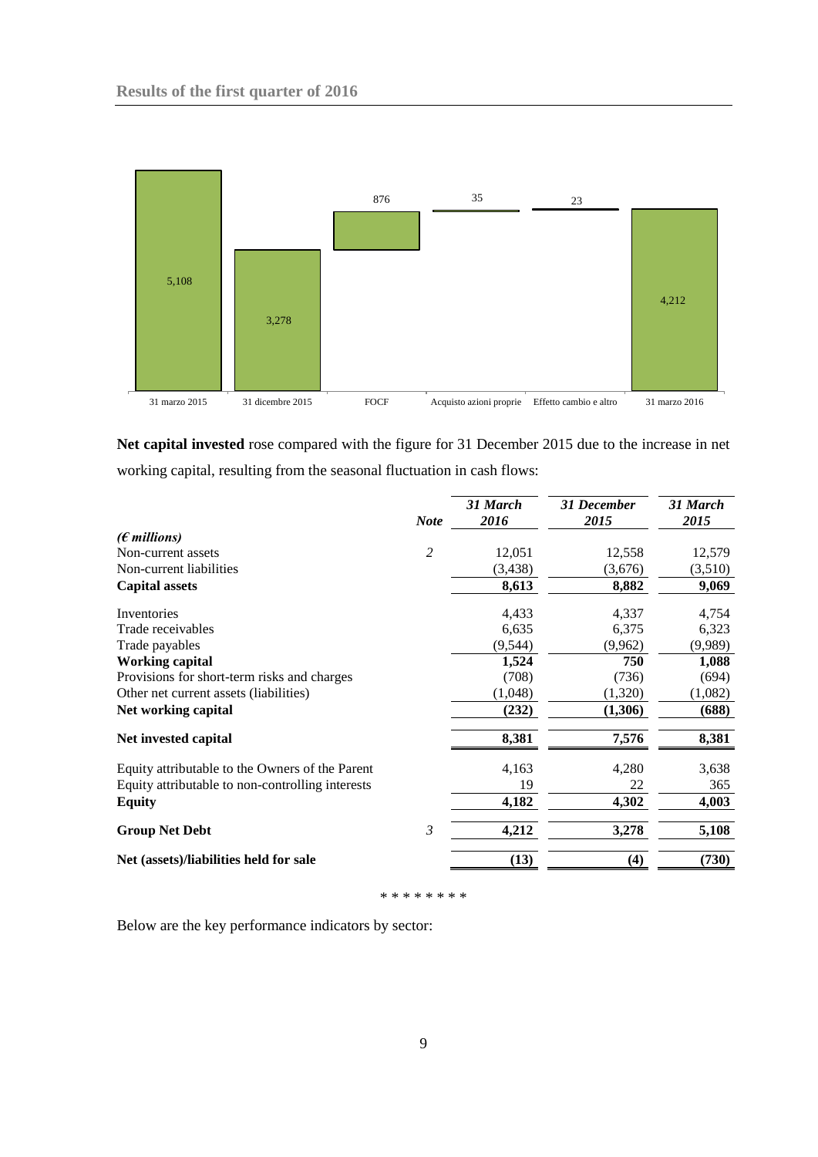

**Net capital invested** rose compared with the figure for 31 December 2015 due to the increase in net working capital, resulting from the seasonal fluctuation in cash flows:

|                                                  | <b>Note</b>    | 31 March<br>2016 | <b>31 December</b><br>2015 | 31 March<br>2015 |
|--------------------------------------------------|----------------|------------------|----------------------------|------------------|
| $(E$ millions)                                   |                |                  |                            |                  |
| Non-current assets                               | $\overline{c}$ | 12,051           | 12,558                     | 12,579           |
| Non-current liabilities                          |                | (3, 438)         | (3,676)                    | (3,510)          |
| <b>Capital assets</b>                            |                | 8,613            | 8,882                      | 9,069            |
| Inventories                                      |                | 4,433            | 4,337                      | 4,754            |
| Trade receivables                                |                | 6,635            | 6,375                      | 6,323            |
| Trade payables                                   |                | (9, 544)         | (9,962)                    | (9,989)          |
| <b>Working capital</b>                           |                | 1,524            | 750                        | 1,088            |
| Provisions for short-term risks and charges      |                | (708)            | (736)                      | (694)            |
| Other net current assets (liabilities)           |                | (1,048)          | (1,320)                    | (1,082)          |
| Net working capital                              |                | (232)            | (1,306)                    | (688)            |
| Net invested capital                             |                | 8,381            | 7,576                      | 8,381            |
| Equity attributable to the Owners of the Parent  |                | 4,163            | 4,280                      | 3,638            |
| Equity attributable to non-controlling interests |                | 19               | 22                         | 365              |
| <b>Equity</b>                                    |                | 4,182            | 4,302                      | 4,003            |
| <b>Group Net Debt</b>                            | $\mathfrak{Z}$ | 4,212            | 3,278                      | 5,108            |
| Net (assets)/liabilities held for sale           |                | (13)             | (4)                        | (730)            |

\* \* \* \* \* \* \* \*

Below are the key performance indicators by sector: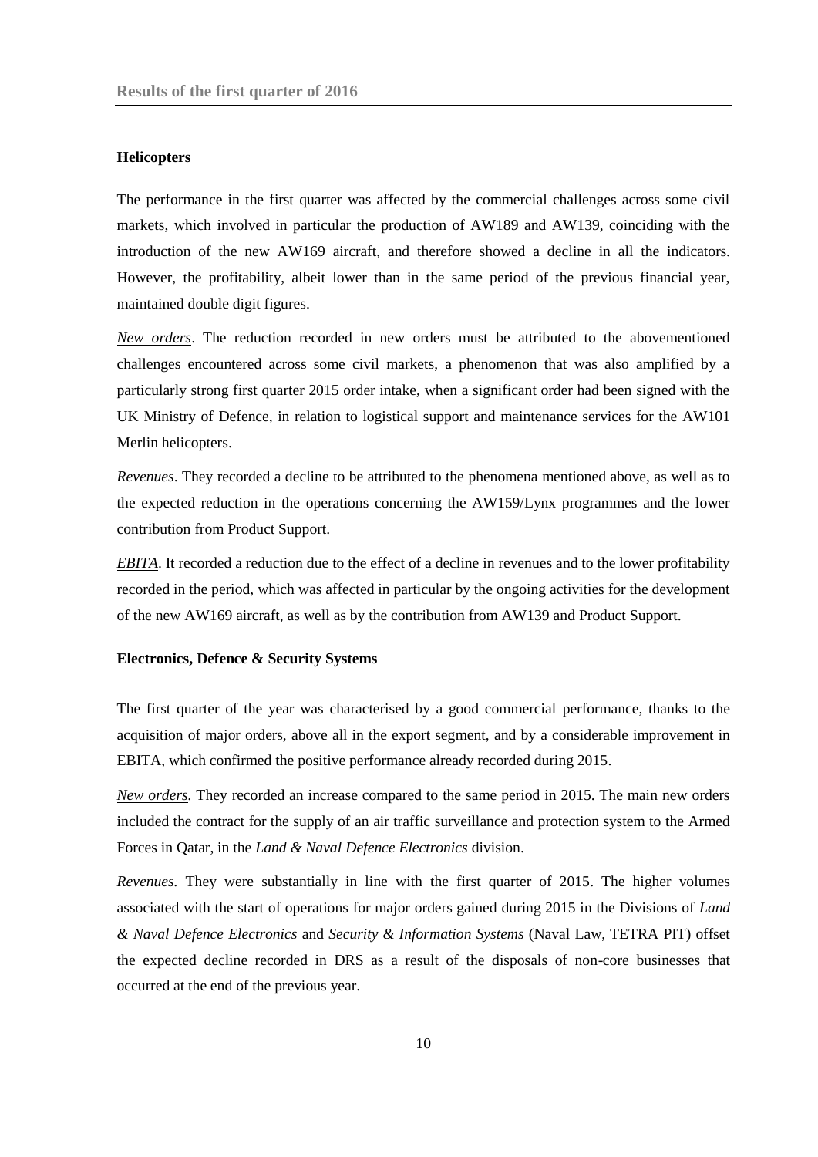## **Helicopters**

The performance in the first quarter was affected by the commercial challenges across some civil markets, which involved in particular the production of AW189 and AW139, coinciding with the introduction of the new AW169 aircraft, and therefore showed a decline in all the indicators. However, the profitability, albeit lower than in the same period of the previous financial year, maintained double digit figures.

*New orders*. The reduction recorded in new orders must be attributed to the abovementioned challenges encountered across some civil markets, a phenomenon that was also amplified by a particularly strong first quarter 2015 order intake, when a significant order had been signed with the UK Ministry of Defence, in relation to logistical support and maintenance services for the AW101 Merlin helicopters.

*Revenues*. They recorded a decline to be attributed to the phenomena mentioned above, as well as to the expected reduction in the operations concerning the AW159/Lynx programmes and the lower contribution from Product Support.

*EBITA*. It recorded a reduction due to the effect of a decline in revenues and to the lower profitability recorded in the period, which was affected in particular by the ongoing activities for the development of the new AW169 aircraft, as well as by the contribution from AW139 and Product Support.

#### **Electronics, Defence & Security Systems**

The first quarter of the year was characterised by a good commercial performance, thanks to the acquisition of major orders, above all in the export segment, and by a considerable improvement in EBITA, which confirmed the positive performance already recorded during 2015.

*New orders.* They recorded an increase compared to the same period in 2015. The main new orders included the contract for the supply of an air traffic surveillance and protection system to the Armed Forces in Qatar, in the *Land & Naval Defence Electronics* division.

*Revenues.* They were substantially in line with the first quarter of 2015. The higher volumes associated with the start of operations for major orders gained during 2015 in the Divisions of *Land & Naval Defence Electronics* and *Security & Information Systems* (Naval Law, TETRA PIT) offset the expected decline recorded in DRS as a result of the disposals of non-core businesses that occurred at the end of the previous year.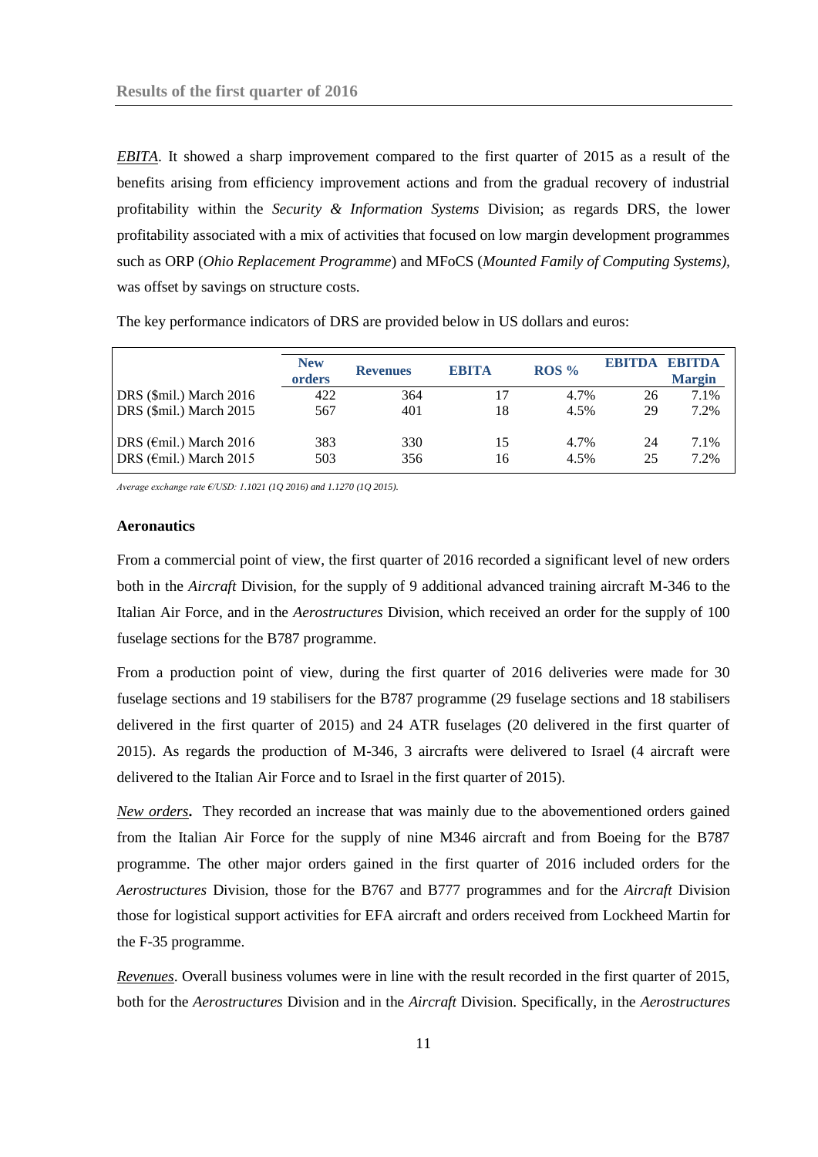*EBITA*. It showed a sharp improvement compared to the first quarter of 2015 as a result of the benefits arising from efficiency improvement actions and from the gradual recovery of industrial profitability within the *Security & Information Systems* Division; as regards DRS, the lower profitability associated with a mix of activities that focused on low margin development programmes such as ORP (*Ohio Replacement Programme*) and MFoCS (*Mounted Family of Computing Systems),*  was offset by savings on structure costs.

|                                   | <b>New</b><br>orders | <b>Revenues</b> | <b>EBITA</b> | ROS <sub>9</sub> | ERITDA | <b>EBITDA</b><br><b>Margin</b> |
|-----------------------------------|----------------------|-----------------|--------------|------------------|--------|--------------------------------|
| DRS (\$mil.) March 2016           | 422                  | 364             |              | 4.7%             | 26     | 7.1%                           |
| DRS (\$mil.) March 2015           | 567                  | 401             | 18           | 4.5%             | 29     | 7.2%                           |
| DRS ( $\epsilon$ mil.) March 2016 | 383                  | 330             | 15           | 4.7%             | 24     | 7.1%                           |
| DRS ( $\epsilon$ mil.) March 2015 | 503                  | 356             | 16           | 4.5%             | 25     | 7.2%                           |

The key performance indicators of DRS are provided below in US dollars and euros:

*Average exchange rate €/USD: 1.1021 (1Q 2016) and 1.1270 (1Q 2015).*

#### **Aeronautics**

From a commercial point of view, the first quarter of 2016 recorded a significant level of new orders both in the *Aircraft* Division, for the supply of 9 additional advanced training aircraft M-346 to the Italian Air Force, and in the *Aerostructures* Division, which received an order for the supply of 100 fuselage sections for the B787 programme.

From a production point of view, during the first quarter of 2016 deliveries were made for 30 fuselage sections and 19 stabilisers for the B787 programme (29 fuselage sections and 18 stabilisers delivered in the first quarter of 2015) and 24 ATR fuselages (20 delivered in the first quarter of 2015). As regards the production of M-346, 3 aircrafts were delivered to Israel (4 aircraft were delivered to the Italian Air Force and to Israel in the first quarter of 2015).

*New orders***.** They recorded an increase that was mainly due to the abovementioned orders gained from the Italian Air Force for the supply of nine M346 aircraft and from Boeing for the B787 programme. The other major orders gained in the first quarter of 2016 included orders for the *Aerostructures* Division*,* those for the B767 and B777 programmes and for the *Aircraft* Division those for logistical support activities for EFA aircraft and orders received from Lockheed Martin for the F-35 programme.

*Revenues*. Overall business volumes were in line with the result recorded in the first quarter of 2015, both for the *Aerostructures* Division and in the *Aircraft* Division. Specifically, in the *Aerostructures*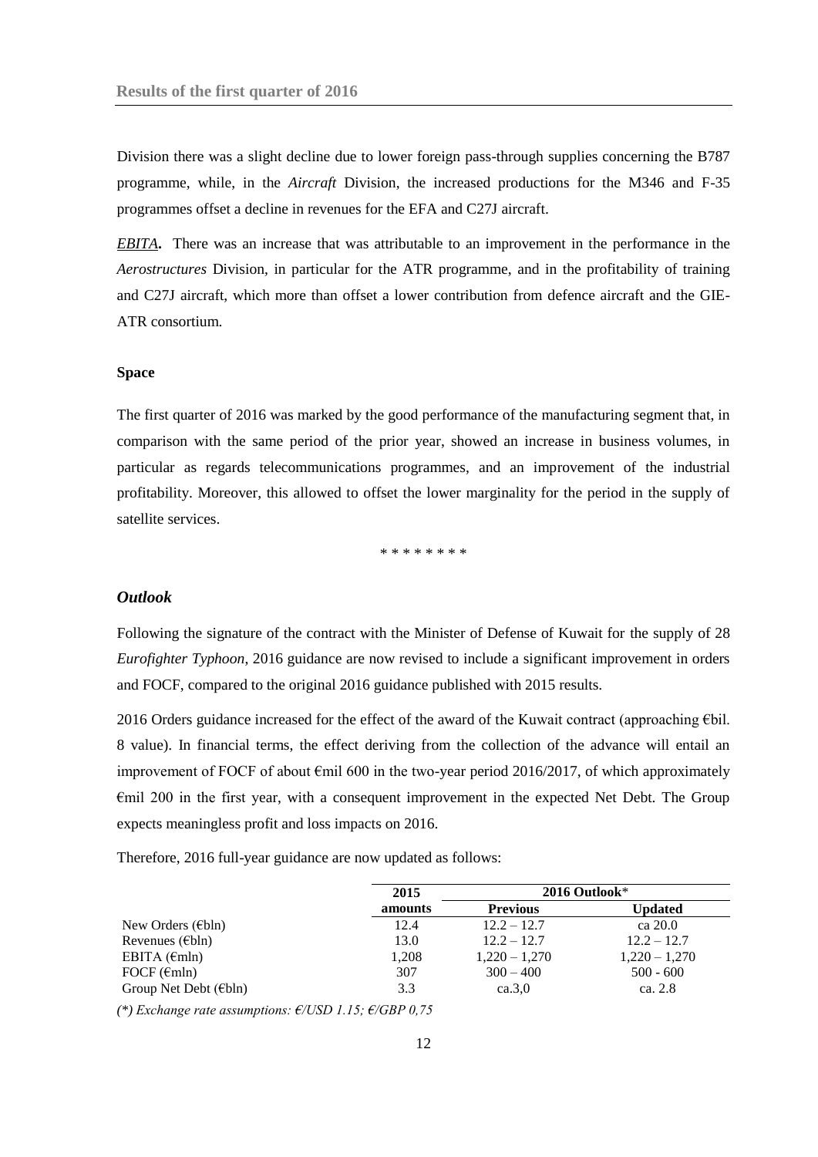Division there was a slight decline due to lower foreign pass-through supplies concerning the B787 programme, while, in the *Aircraft* Division, the increased productions for the M346 and F-35 programmes offset a decline in revenues for the EFA and C27J aircraft.

*EBITA***.** There was an increase that was attributable to an improvement in the performance in the *Aerostructures* Division, in particular for the ATR programme, and in the profitability of training and C27J aircraft, which more than offset a lower contribution from defence aircraft and the GIE-ATR consortium.

#### **Space**

The first quarter of 2016 was marked by the good performance of the manufacturing segment that, in comparison with the same period of the prior year, showed an increase in business volumes, in particular as regards telecommunications programmes, and an improvement of the industrial profitability. Moreover, this allowed to offset the lower marginality for the period in the supply of satellite services.

\* \* \* \* \* \* \* \*

## <span id="page-11-0"></span>*Outlook*

Following the signature of the contract with the Minister of Defense of Kuwait for the supply of 28 *Eurofighter Typhoon*, 2016 guidance are now revised to include a significant improvement in orders and FOCF, compared to the original 2016 guidance published with 2015 results.

2016 Orders guidance increased for the effect of the award of the Kuwait contract (approaching €bil. 8 value). In financial terms, the effect deriving from the collection of the advance will entail an improvement of FOCF of about €mil 600 in the two-year period 2016/2017, of which approximately €mil 200 in the first year, with a consequent improvement in the expected Net Debt. The Group expects meaningless profit and loss impacts on 2016.

Therefore, 2016 full-year guidance are now updated as follows:

|                             | 2015    |                 | $2016$ Outlook* |
|-----------------------------|---------|-----------------|-----------------|
|                             | amounts | <b>Previous</b> | Updated         |
| New Orders ( $\in$ bln)     | 12.4    | $12.2 - 12.7$   | ca 20.0         |
| Revenues ( $\in$ bln)       | 13.0    | $12.2 - 12.7$   | $12.2 - 12.7$   |
| EBITA $(\epsilon m)n$       | 1,208   | $1,220 - 1,270$ | $1,220 - 1,270$ |
| FOCF $(\epsilon mln)$       | 307     | $300 - 400$     | $500 - 600$     |
| Group Net Debt ( $\in$ bln) | 3.3     | ca.3.0          | ca. $2.8$       |

*(\*) Exchange rate assumptions: €/USD 1.15; €/GBP 0,75*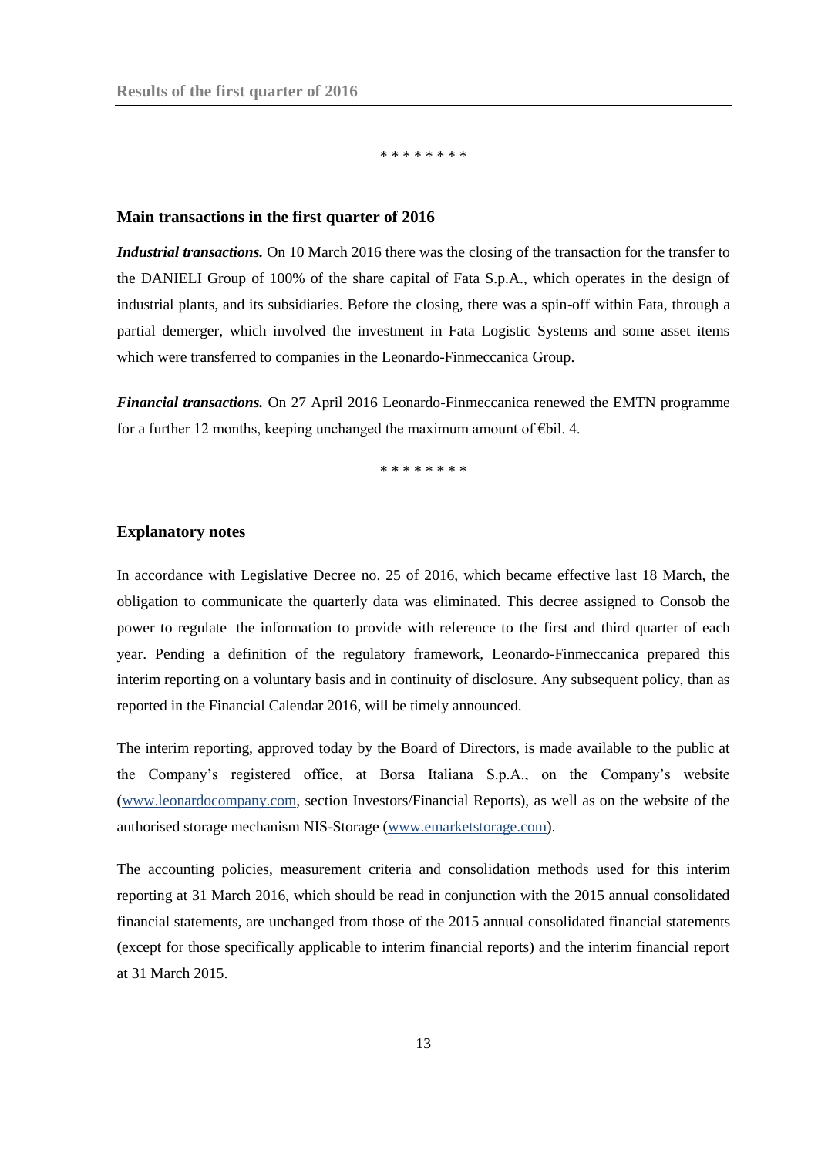\* \* \* \* \* \* \*

### <span id="page-12-0"></span>**Main transactions in the first quarter of 2016**

*Industrial transactions.* On 10 March 2016 there was the closing of the transaction for the transfer to the DANIELI Group of 100% of the share capital of Fata S.p.A., which operates in the design of industrial plants, and its subsidiaries. Before the closing, there was a spin-off within Fata, through a partial demerger, which involved the investment in Fata Logistic Systems and some asset items which were transferred to companies in the Leonardo-Finmeccanica Group.

*Financial transactions.* On 27 April 2016 Leonardo-Finmeccanica renewed the EMTN programme for a further 12 months, keeping unchanged the maximum amount of  $\epsilon$ bil. 4.

\* \* \* \* \* \* \* \* \* \* \* \*

#### <span id="page-12-1"></span>**Explanatory notes**

In accordance with Legislative Decree no. 25 of 2016, which became effective last 18 March, the obligation to communicate the quarterly data was eliminated. This decree assigned to Consob the power to regulate the information to provide with reference to the first and third quarter of each year. Pending a definition of the regulatory framework, Leonardo-Finmeccanica prepared this interim reporting on a voluntary basis and in continuity of disclosure. Any subsequent policy, than as reported in the Financial Calendar 2016, will be timely announced.

The interim reporting, approved today by the Board of Directors, is made available to the public at the Company's registered office, at Borsa Italiana S.p.A., on the Company's website [\(www.leonardocompany.com,](http://www.leonardocompany.com/) section Investors/Financial Reports), as well as on the website of the authorised storage mechanism NIS-Storage [\(www.emarketstorage.com\)](http://www.emarketstorage.com/).

The accounting policies, measurement criteria and consolidation methods used for this interim reporting at 31 March 2016, which should be read in conjunction with the 2015 annual consolidated financial statements, are unchanged from those of the 2015 annual consolidated financial statements (except for those specifically applicable to interim financial reports) and the interim financial report at 31 March 2015.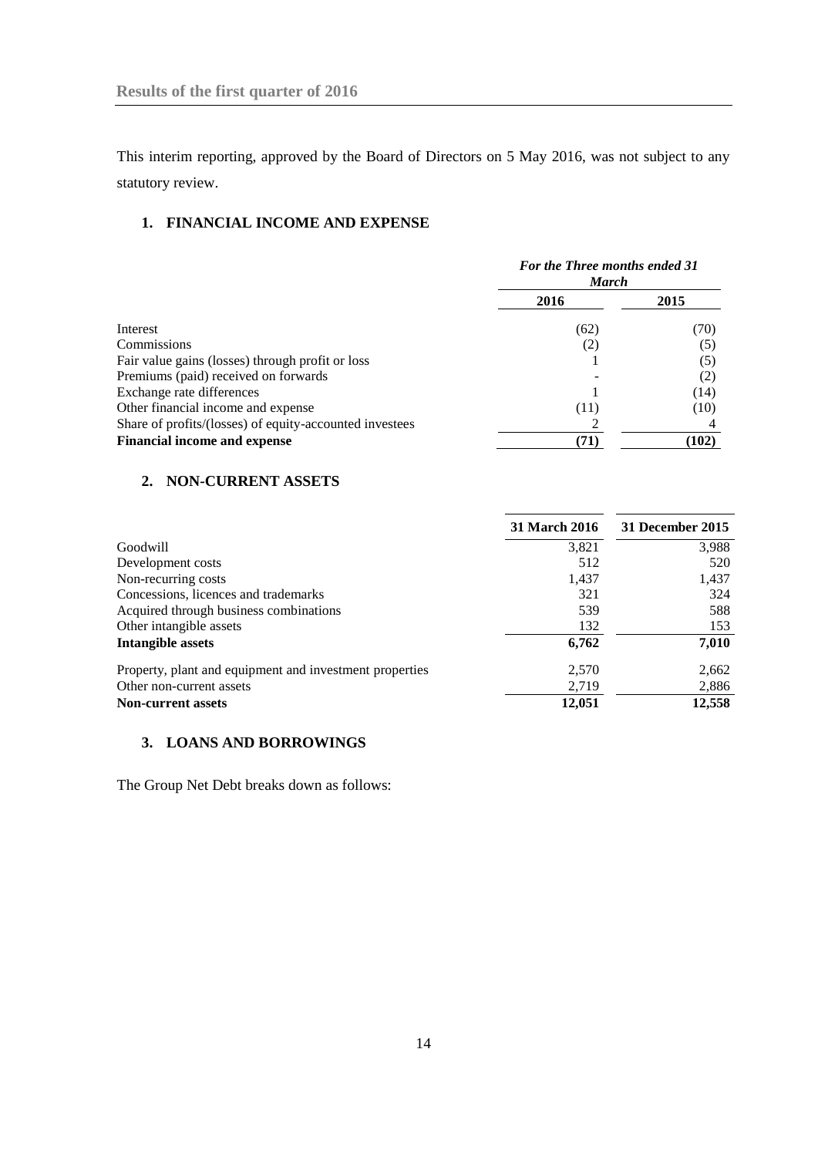This interim reporting, approved by the Board of Directors on 5 May 2016, was not subject to any statutory review.

## <span id="page-13-0"></span>**1. FINANCIAL INCOME AND EXPENSE**

|                                                         | For the Three months ended 31<br><b>March</b> |       |  |
|---------------------------------------------------------|-----------------------------------------------|-------|--|
|                                                         | 2016                                          | 2015  |  |
| Interest                                                | (62)                                          | (70)  |  |
| Commissions                                             | (2)                                           | (5)   |  |
| Fair value gains (losses) through profit or loss        |                                               | (5)   |  |
| Premiums (paid) received on forwards                    |                                               | (2)   |  |
| Exchange rate differences                               |                                               | (14)  |  |
| Other financial income and expense                      | (11)                                          | (10)  |  |
| Share of profits/(losses) of equity-accounted investees |                                               |       |  |
| <b>Financial income and expense</b>                     | (71)                                          | (102) |  |

## <span id="page-13-1"></span>**2. NON-CURRENT ASSETS**

|                                                         | <b>31 March 2016</b> | 31 December 2015 |
|---------------------------------------------------------|----------------------|------------------|
| Goodwill                                                | 3,821                | 3,988            |
| Development costs                                       | 512                  | 520              |
| Non-recurring costs                                     | 1,437                | 1,437            |
| Concessions, licences and trademarks                    | 321                  | 324              |
| Acquired through business combinations                  | 539                  | 588              |
| Other intangible assets                                 | 132                  | 153              |
| Intangible assets                                       | 6,762                | 7,010            |
| Property, plant and equipment and investment properties | 2,570                | 2,662            |
| Other non-current assets                                | 2,719                | 2,886            |
| <b>Non-current assets</b>                               | 12,051               | 12,558           |

## <span id="page-13-2"></span>**3. LOANS AND BORROWINGS**

The Group Net Debt breaks down as follows: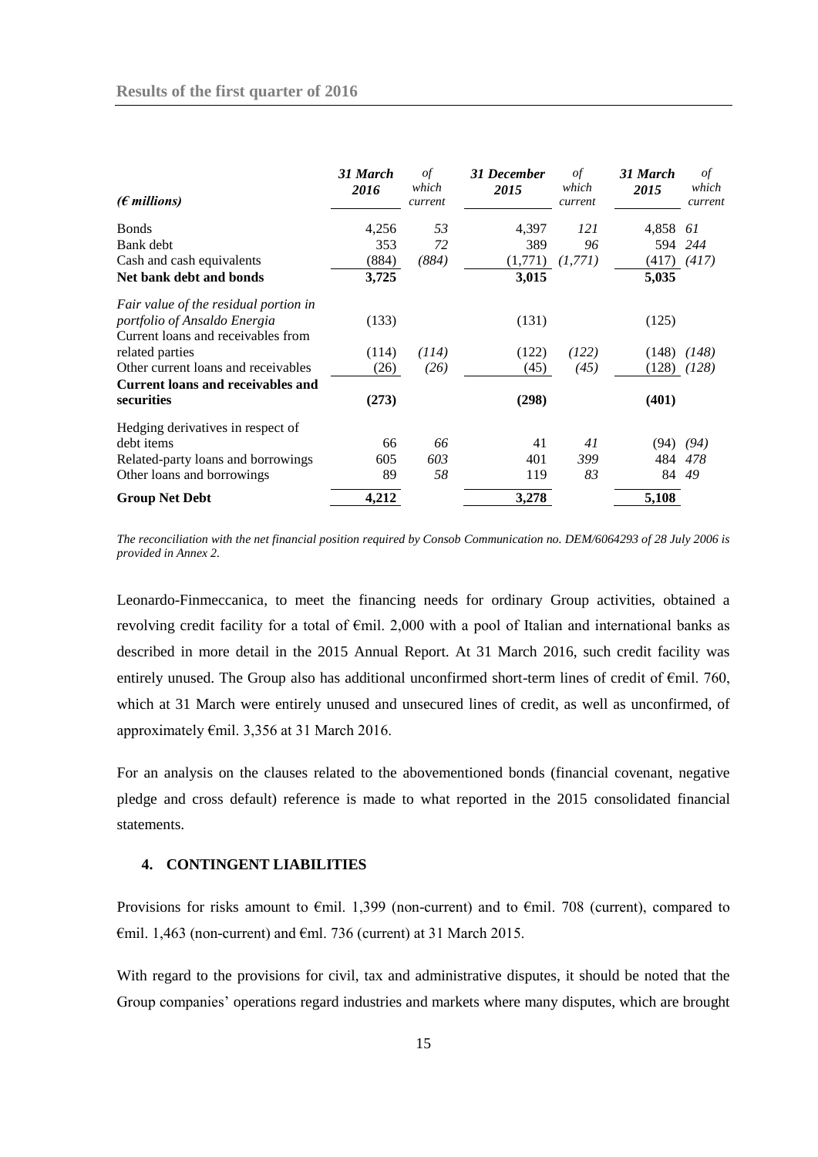| $(\epsilon$ millions)                                                                                               | 31 March<br>2016 | of<br>which<br>current | 31 December<br>2015 | οf<br>which<br>current | 31 March<br>2015  | $\sigma f$<br>which<br>current |
|---------------------------------------------------------------------------------------------------------------------|------------------|------------------------|---------------------|------------------------|-------------------|--------------------------------|
| <b>Bonds</b>                                                                                                        | 4,256            | 53                     | 4,397               | 121                    | 4,858             | 61                             |
| Bank debt                                                                                                           | 353              | 72                     | 389                 | 96                     | 594               | 244                            |
| Cash and cash equivalents                                                                                           | (884)            | (884)                  | (1,771)             | (1, 771)               | (417)             | (417)                          |
| Net bank debt and bonds                                                                                             | 3,725            |                        | 3,015               |                        | 5,035             |                                |
| Fair value of the residual portion in<br>portfolio of Ansaldo Energia<br>Current loans and receivables from         | (133)            |                        | (131)               |                        | (125)             |                                |
| related parties                                                                                                     | (114)            | (114)                  | (122)               | (122)                  | (148)             | 148)                           |
| Other current loans and receivables                                                                                 | (26)             | (26)                   | (45)                | (45)                   | (128)             | (128)                          |
| Current loans and receivables and<br>securities                                                                     | (273)            |                        | (298)               |                        | (401)             |                                |
| Hedging derivatives in respect of<br>debt items<br>Related-party loans and borrowings<br>Other loans and borrowings | 66<br>605<br>89  | 66<br>603<br>58        | 41<br>401<br>119    | 41<br>399<br>83        | (94)<br>484<br>84 | (94)<br>478<br>49              |
| <b>Group Net Debt</b>                                                                                               | 4,212            |                        | 3,278               |                        | 5,108             |                                |

*The reconciliation with the net financial position required by Consob Communication no. DEM/6064293 of 28 July 2006 is provided in Annex 2.* 

Leonardo-Finmeccanica, to meet the financing needs for ordinary Group activities, obtained a revolving credit facility for a total of €mil. 2,000 with a pool of Italian and international banks as described in more detail in the 2015 Annual Report. At 31 March 2016, such credit facility was entirely unused. The Group also has additional unconfirmed short-term lines of credit of  $\epsilon$ mil. 760, which at 31 March were entirely unused and unsecured lines of credit, as well as unconfirmed, of approximately €mil. 3,356 at 31 March 2016.

For an analysis on the clauses related to the abovementioned bonds (financial covenant, negative pledge and cross default) reference is made to what reported in the 2015 consolidated financial statements.

## <span id="page-14-0"></span>**4. CONTINGENT LIABILITIES**

Provisions for risks amount to €mil. 1,399 (non-current) and to €mil. 708 (current), compared to  $\epsilon$ mil. 1,463 (non-current) and  $\epsilon$ ml. 736 (current) at 31 March 2015.

With regard to the provisions for civil, tax and administrative disputes, it should be noted that the Group companies' operations regard industries and markets where many disputes, which are brought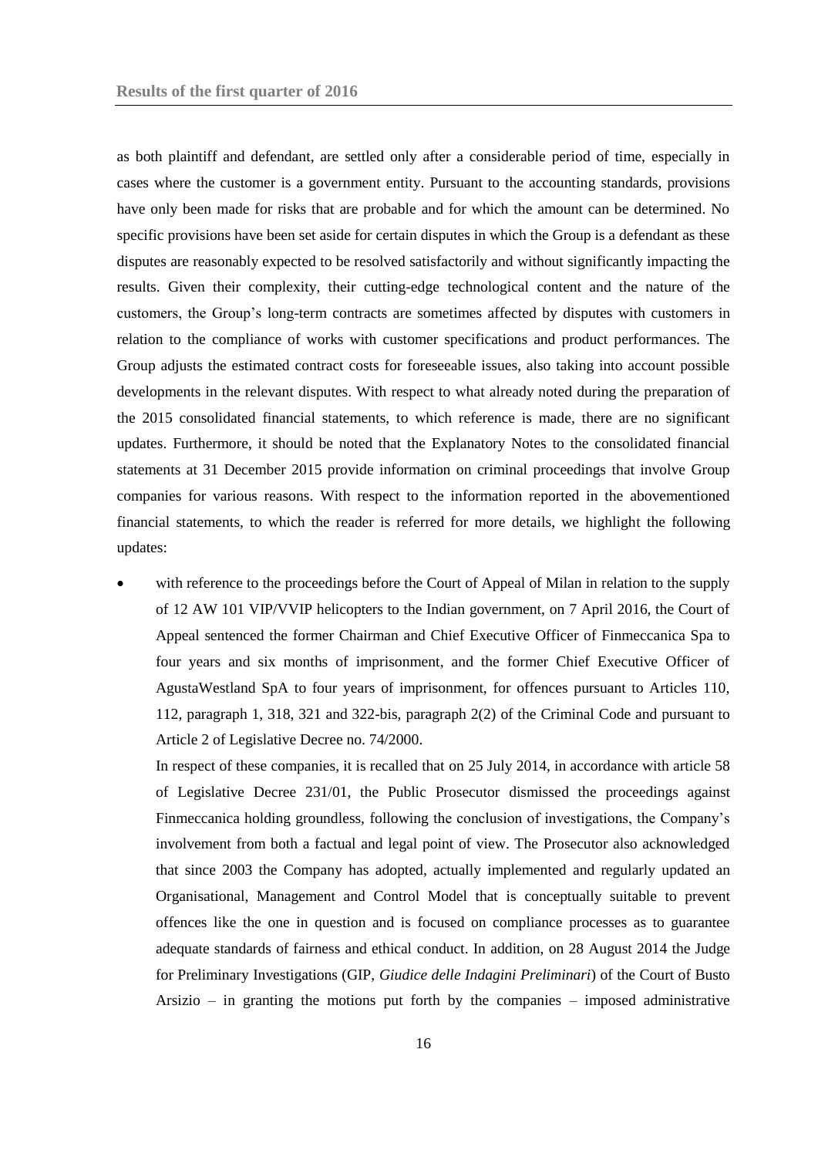as both plaintiff and defendant, are settled only after a considerable period of time, especially in cases where the customer is a government entity. Pursuant to the accounting standards, provisions have only been made for risks that are probable and for which the amount can be determined. No specific provisions have been set aside for certain disputes in which the Group is a defendant as these disputes are reasonably expected to be resolved satisfactorily and without significantly impacting the results. Given their complexity, their cutting-edge technological content and the nature of the customers, the Group's long-term contracts are sometimes affected by disputes with customers in relation to the compliance of works with customer specifications and product performances. The Group adjusts the estimated contract costs for foreseeable issues, also taking into account possible developments in the relevant disputes. With respect to what already noted during the preparation of the 2015 consolidated financial statements, to which reference is made, there are no significant updates. Furthermore, it should be noted that the Explanatory Notes to the consolidated financial statements at 31 December 2015 provide information on criminal proceedings that involve Group companies for various reasons. With respect to the information reported in the abovementioned financial statements, to which the reader is referred for more details, we highlight the following updates:

 with reference to the proceedings before the Court of Appeal of Milan in relation to the supply of 12 AW 101 VIP/VVIP helicopters to the Indian government, on 7 April 2016, the Court of Appeal sentenced the former Chairman and Chief Executive Officer of Finmeccanica Spa to four years and six months of imprisonment, and the former Chief Executive Officer of AgustaWestland SpA to four years of imprisonment, for offences pursuant to Articles 110, 112, paragraph 1, 318, 321 and 322-bis, paragraph 2(2) of the Criminal Code and pursuant to Article 2 of Legislative Decree no. 74/2000.

In respect of these companies, it is recalled that on 25 July 2014, in accordance with article 58 of Legislative Decree 231/01, the Public Prosecutor dismissed the proceedings against Finmeccanica holding groundless, following the conclusion of investigations, the Company's involvement from both a factual and legal point of view. The Prosecutor also acknowledged that since 2003 the Company has adopted, actually implemented and regularly updated an Organisational, Management and Control Model that is conceptually suitable to prevent offences like the one in question and is focused on compliance processes as to guarantee adequate standards of fairness and ethical conduct. In addition, on 28 August 2014 the Judge for Preliminary Investigations (GIP, *Giudice delle Indagini Preliminari*) of the Court of Busto Arsizio – in granting the motions put forth by the companies – imposed administrative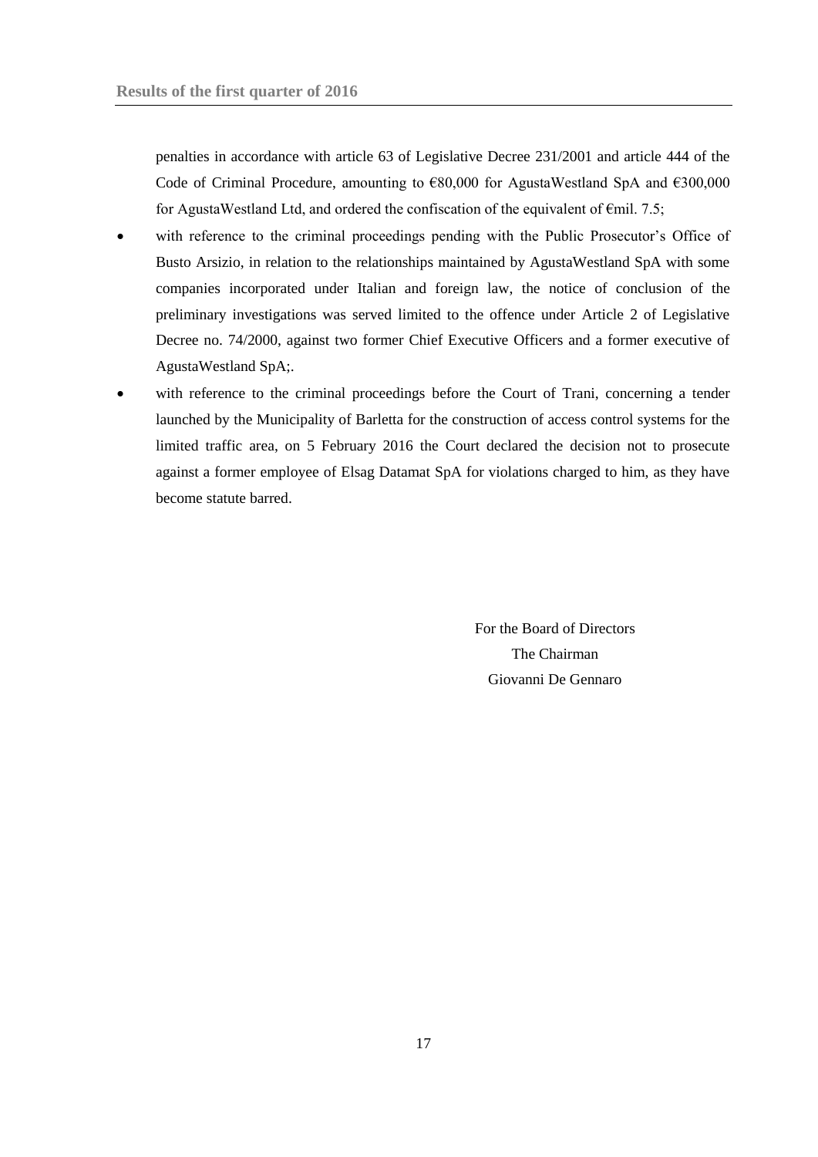penalties in accordance with article 63 of Legislative Decree 231/2001 and article 444 of the Code of Criminal Procedure, amounting to  $€80,000$  for AgustaWestland SpA and  $€300,000$ for AgustaWestland Ltd, and ordered the confiscation of the equivalent of  $\epsilon$ mil. 7.5;

- with reference to the criminal proceedings pending with the Public Prosecutor's Office of Busto Arsizio, in relation to the relationships maintained by AgustaWestland SpA with some companies incorporated under Italian and foreign law, the notice of conclusion of the preliminary investigations was served limited to the offence under Article 2 of Legislative Decree no. 74/2000, against two former Chief Executive Officers and a former executive of AgustaWestland SpA;.
- with reference to the criminal proceedings before the Court of Trani, concerning a tender launched by the Municipality of Barletta for the construction of access control systems for the limited traffic area, on 5 February 2016 the Court declared the decision not to prosecute against a former employee of Elsag Datamat SpA for violations charged to him, as they have become statute barred.

For the Board of Directors The Chairman Giovanni De Gennaro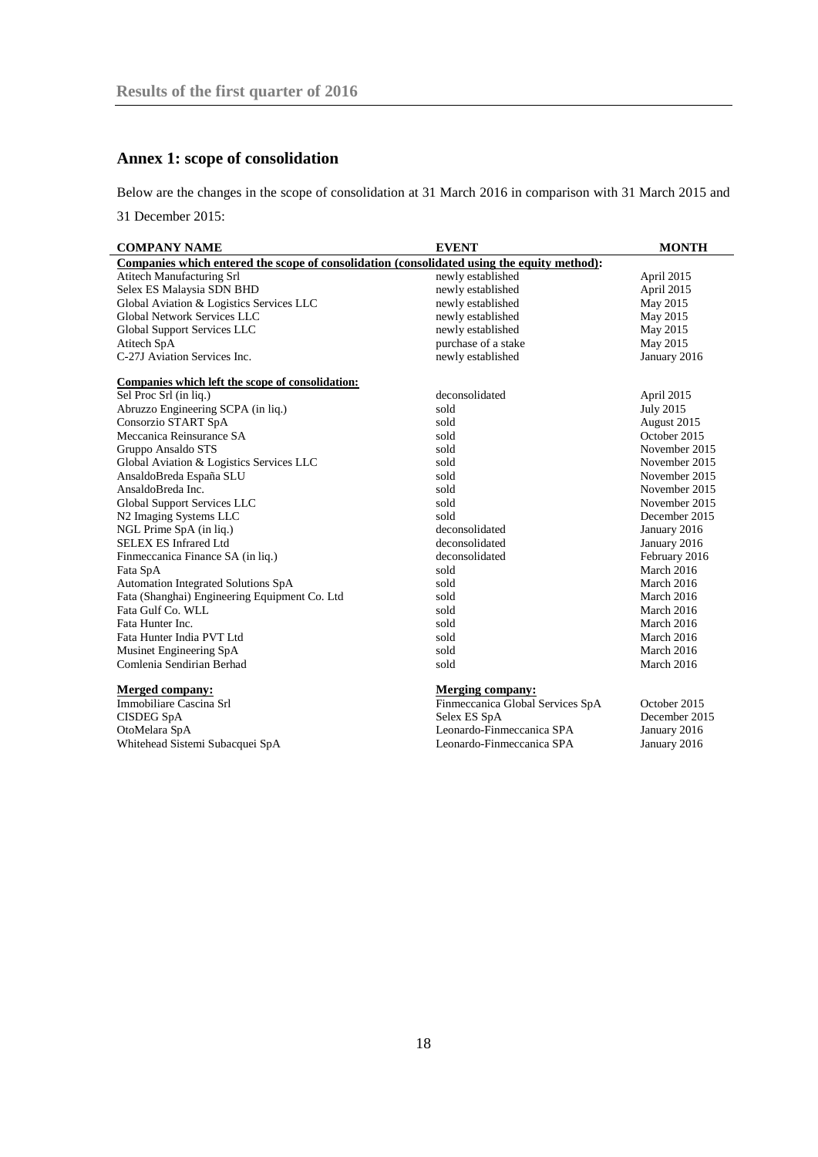## <span id="page-17-0"></span>**Annex 1: scope of consolidation**

Below are the changes in the scope of consolidation at 31 March 2016 in comparison with 31 March 2015 and

31 December 2015:

| <b>COMPANY NAME</b>                                                                        | <b>EVENT</b>                     | <b>MONTH</b>     |  |  |
|--------------------------------------------------------------------------------------------|----------------------------------|------------------|--|--|
| Companies which entered the scope of consolidation (consolidated using the equity method): |                                  |                  |  |  |
| Atitech Manufacturing Srl                                                                  | newly established                | April 2015       |  |  |
| Selex ES Malaysia SDN BHD                                                                  | newly established                | April 2015       |  |  |
| Global Aviation & Logistics Services LLC                                                   | newly established                | May 2015         |  |  |
| Global Network Services LLC                                                                | newly established                | May 2015         |  |  |
| Global Support Services LLC                                                                | newly established                | May 2015         |  |  |
| Atitech SpA                                                                                | purchase of a stake              | May 2015         |  |  |
| C-27J Aviation Services Inc.                                                               | newly established                | January 2016     |  |  |
| Companies which left the scope of consolidation:                                           |                                  |                  |  |  |
| Sel Proc Srl (in liq.)                                                                     | deconsolidated                   | April 2015       |  |  |
| Abruzzo Engineering SCPA (in liq.)                                                         | sold                             | <b>July 2015</b> |  |  |
| Consorzio START SpA                                                                        | sold                             | August 2015      |  |  |
| Meccanica Reinsurance SA                                                                   | sold                             | October 2015     |  |  |
| Gruppo Ansaldo STS                                                                         | sold                             | November 2015    |  |  |
| Global Aviation & Logistics Services LLC                                                   | sold                             | November 2015    |  |  |
| AnsaldoBreda España SLU                                                                    | sold                             | November 2015    |  |  |
| AnsaldoBreda Inc.                                                                          | sold                             | November 2015    |  |  |
| Global Support Services LLC                                                                | sold                             | November 2015    |  |  |
| N2 Imaging Systems LLC                                                                     | sold                             | December 2015    |  |  |
| NGL Prime SpA (in liq.)                                                                    | deconsolidated                   | January 2016     |  |  |
| <b>SELEX ES Infrared Ltd</b>                                                               | deconsolidated                   | January 2016     |  |  |
| Finmeccanica Finance SA (in liq.)                                                          | deconsolidated                   | February 2016    |  |  |
| Fata SpA                                                                                   | sold                             | March 2016       |  |  |
| Automation Integrated Solutions SpA                                                        | sold                             | March 2016       |  |  |
| Fata (Shanghai) Engineering Equipment Co. Ltd                                              | sold                             | March 2016       |  |  |
| Fata Gulf Co. WLL                                                                          | sold                             | March 2016       |  |  |
| Fata Hunter Inc.                                                                           | sold                             | March 2016       |  |  |
| Fata Hunter India PVT Ltd                                                                  | sold                             | March 2016       |  |  |
| Musinet Engineering SpA                                                                    | sold                             | March 2016       |  |  |
| Comlenia Sendirian Berhad                                                                  | sold                             | March 2016       |  |  |
| <b>Merged company:</b>                                                                     | <b>Merging company:</b>          |                  |  |  |
| Immobiliare Cascina Srl                                                                    | Finmeccanica Global Services SpA | October 2015     |  |  |
| <b>CISDEG SpA</b>                                                                          | Selex ES SpA                     | December 2015    |  |  |
| OtoMelara SpA                                                                              | Leonardo-Finmeccanica SPA        | January 2016     |  |  |
| Whitehead Sistemi Subacquei SpA                                                            | Leonardo-Finmeccanica SPA        | January 2016     |  |  |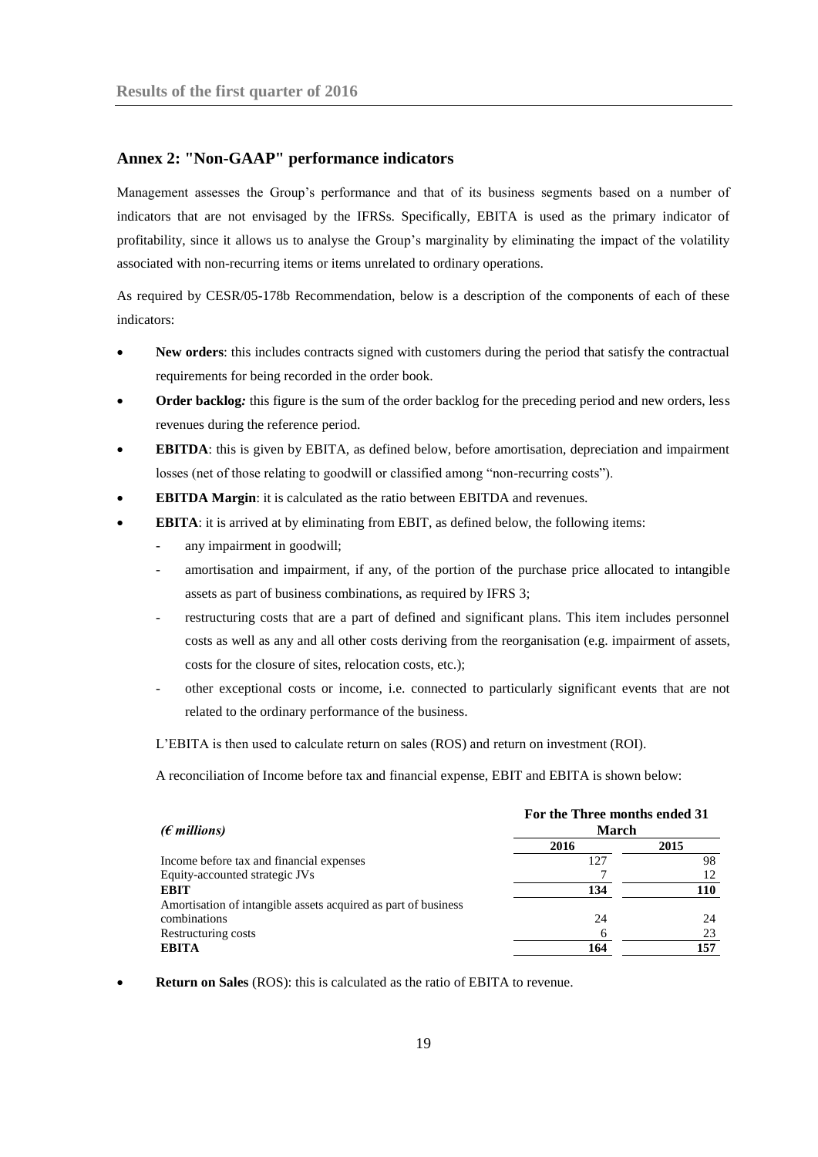## <span id="page-18-0"></span>**Annex 2: "Non-GAAP" performance indicators**

Management assesses the Group's performance and that of its business segments based on a number of indicators that are not envisaged by the IFRSs. Specifically, EBITA is used as the primary indicator of profitability, since it allows us to analyse the Group's marginality by eliminating the impact of the volatility associated with non-recurring items or items unrelated to ordinary operations.

As required by CESR/05-178b Recommendation, below is a description of the components of each of these indicators:

- **New orders**: this includes contracts signed with customers during the period that satisfy the contractual requirements for being recorded in the order book.
- **Order backlog***:* this figure is the sum of the order backlog for the preceding period and new orders, less revenues during the reference period.
- **EBITDA**: this is given by EBITA, as defined below, before amortisation, depreciation and impairment losses (net of those relating to goodwill or classified among "non-recurring costs").
- **EBITDA Margin**: it is calculated as the ratio between EBITDA and revenues.
- **EBITA**: it is arrived at by eliminating from EBIT, as defined below, the following items:
	- any impairment in goodwill;
	- amortisation and impairment, if any, of the portion of the purchase price allocated to intangible assets as part of business combinations, as required by IFRS 3;
	- restructuring costs that are a part of defined and significant plans. This item includes personnel costs as well as any and all other costs deriving from the reorganisation (e.g. impairment of assets, costs for the closure of sites, relocation costs, etc.);
	- other exceptional costs or income, i.e. connected to particularly significant events that are not related to the ordinary performance of the business.

L'EBITA is then used to calculate return on sales (ROS) and return on investment (ROI).

A reconciliation of Income before tax and financial expense, EBIT and EBITA is shown below:

|                                                                | For the Three months ended 31 |      |  |  |
|----------------------------------------------------------------|-------------------------------|------|--|--|
| ( $\epsilon$ millions)                                         | <b>March</b>                  |      |  |  |
|                                                                | 2016                          | 2015 |  |  |
| Income before tax and financial expenses                       | 127                           | 98   |  |  |
| Equity-accounted strategic JVs                                 |                               |      |  |  |
| <b>EBIT</b>                                                    | 134                           | 110  |  |  |
| Amortisation of intangible assets acquired as part of business |                               |      |  |  |
| combinations                                                   | 24                            | 24   |  |  |
| Restructuring costs                                            | 6                             | 23   |  |  |
| <b>EBITA</b>                                                   | 164                           | 157  |  |  |

**Return on Sales** (ROS): this is calculated as the ratio of EBITA to revenue.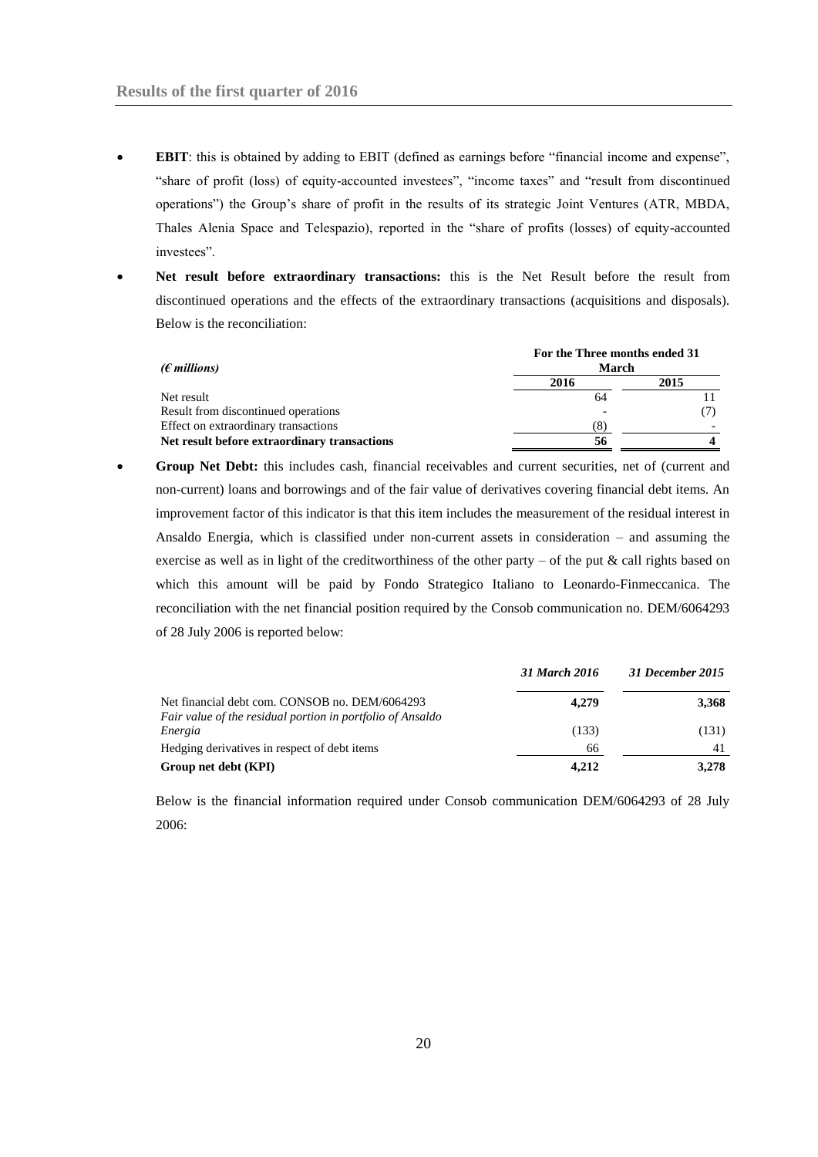- **EBIT**: this is obtained by adding to EBIT (defined as earnings before "financial income and expense", "share of profit (loss) of equity-accounted investees", "income taxes" and "result from discontinued operations") the Group's share of profit in the results of its strategic Joint Ventures (ATR, MBDA, Thales Alenia Space and Telespazio), reported in the "share of profits (losses) of equity-accounted investees".
- **Net result before extraordinary transactions:** this is the Net Result before the result from discontinued operations and the effects of the extraordinary transactions (acquisitions and disposals). Below is the reconciliation:

| ( $\epsilon$ millions)                       | For the Three months ended 31<br><b>March</b> |      |  |  |
|----------------------------------------------|-----------------------------------------------|------|--|--|
|                                              | 2016                                          | 2015 |  |  |
| Net result                                   | 64                                            |      |  |  |
| Result from discontinued operations          |                                               |      |  |  |
| Effect on extraordinary transactions         | (8)                                           |      |  |  |
| Net result before extraordinary transactions | 56                                            |      |  |  |

 **Group Net Debt:** this includes cash, financial receivables and current securities, net of (current and non-current) loans and borrowings and of the fair value of derivatives covering financial debt items. An improvement factor of this indicator is that this item includes the measurement of the residual interest in Ansaldo Energia, which is classified under non-current assets in consideration – and assuming the exercise as well as in light of the creditworthiness of the other party – of the put  $\&$  call rights based on which this amount will be paid by Fondo Strategico Italiano to Leonardo-Finmeccanica. The reconciliation with the net financial position required by the Consob communication no. DEM/6064293 of 28 July 2006 is reported below:

|                                                                                                              | 31 March 2016 | 31 December 2015 |
|--------------------------------------------------------------------------------------------------------------|---------------|------------------|
| Net financial debt com. CONSOB no. DEM/6064293<br>Fair value of the residual portion in portfolio of Ansaldo | 4.279         | 3,368            |
| Energia                                                                                                      | (133)         | (131)            |
| Hedging derivatives in respect of debt items                                                                 | 66            | 41               |
| Group net debt (KPI)                                                                                         | 4,212         | 3.278            |

Below is the financial information required under Consob communication DEM/6064293 of 28 July 2006: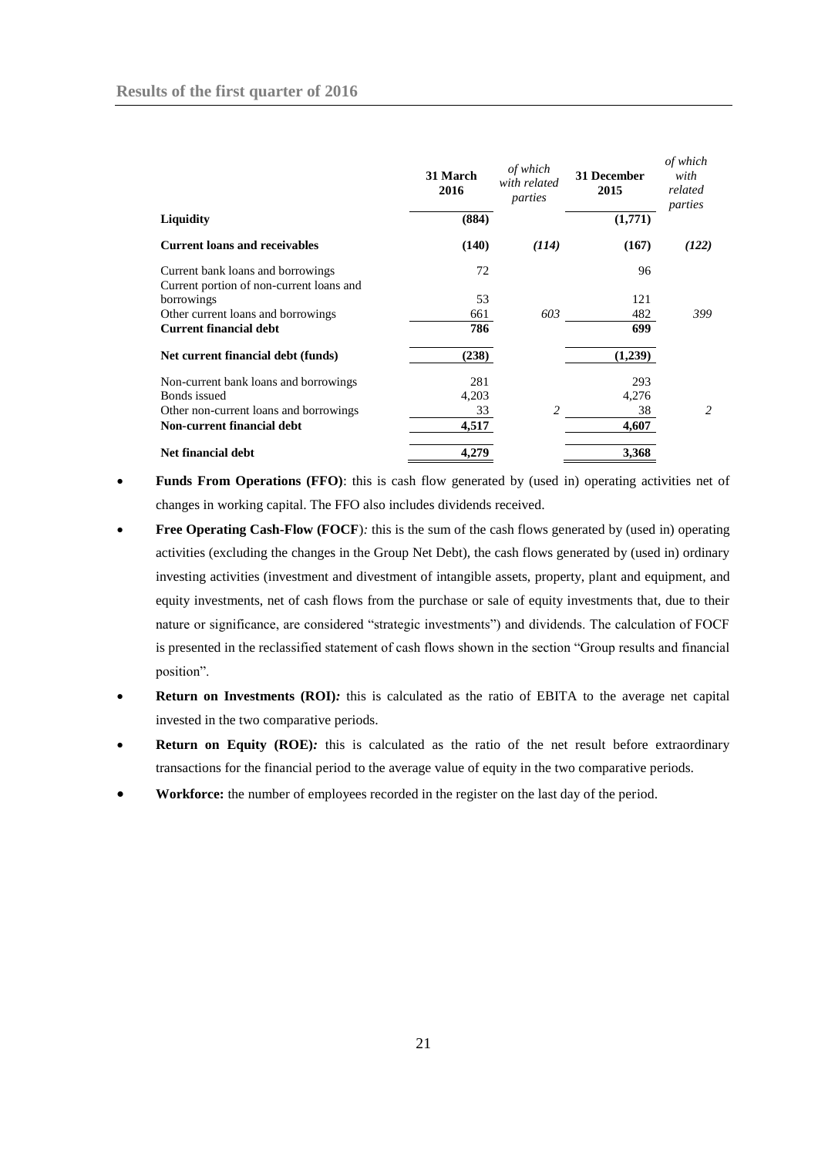|                                                                               | 31 March<br>2016 | of which<br>with related<br>parties | 31 December<br>2015 | of which<br>with<br>related<br>parties |
|-------------------------------------------------------------------------------|------------------|-------------------------------------|---------------------|----------------------------------------|
| <b>Liquidity</b>                                                              | (884)            |                                     | (1,771)             |                                        |
| <b>Current loans and receivables</b>                                          | (140)            | (114)                               | (167)               | (122)                                  |
| Current bank loans and borrowings<br>Current portion of non-current loans and | 72               |                                     | 96                  |                                        |
| borrowings                                                                    | 53               |                                     | 121                 |                                        |
| Other current loans and borrowings                                            | 661              | 603                                 | 482                 | 399                                    |
| <b>Current financial debt</b>                                                 | 786              |                                     | 699                 |                                        |
| Net current financial debt (funds)                                            | (238)            |                                     | (1,239)             |                                        |
| Non-current bank loans and borrowings                                         | 281              |                                     | 293                 |                                        |
| Bonds issued                                                                  | 4,203            |                                     | 4,276               |                                        |
| Other non-current loans and borrowings                                        | 33               | 2                                   | 38                  | 2                                      |
| Non-current financial debt                                                    | 4,517            |                                     | 4,607               |                                        |
| <b>Net financial debt</b>                                                     | 4,279            |                                     | 3,368               |                                        |

- **Funds From Operations (FFO)**: this is cash flow generated by (used in) operating activities net of changes in working capital. The FFO also includes dividends received.
- **Free Operating Cash-Flow (FOCF**)*:* this is the sum of the cash flows generated by (used in) operating activities (excluding the changes in the Group Net Debt), the cash flows generated by (used in) ordinary investing activities (investment and divestment of intangible assets, property, plant and equipment, and equity investments, net of cash flows from the purchase or sale of equity investments that, due to their nature or significance, are considered "strategic investments") and dividends. The calculation of FOCF is presented in the reclassified statement of cash flows shown in the section "Group results and financial position".
- **Return on Investments (ROI)***:* this is calculated as the ratio of EBITA to the average net capital invested in the two comparative periods.
- **Return on Equity (ROE):** this is calculated as the ratio of the net result before extraordinary transactions for the financial period to the average value of equity in the two comparative periods.
- **Workforce:** the number of employees recorded in the register on the last day of the period.